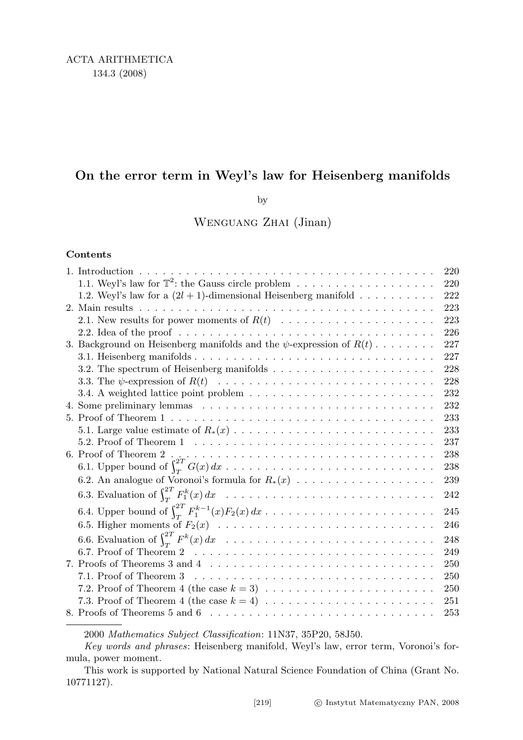## On the error term in Weyl's law for Heisenberg manifolds

by

Wenguang Zhai (Jinan)

## Contents

|                                                                                                            | 220 |
|------------------------------------------------------------------------------------------------------------|-----|
|                                                                                                            | 220 |
| 1.2. Weyl's law for a $(2l + 1)$ -dimensional Heisenberg manifold                                          | 222 |
|                                                                                                            | 223 |
| 2.1. New results for power moments of $R(t)$                                                               | 223 |
|                                                                                                            | 226 |
| 3. Background on Heisenberg manifolds and the $\psi$ -expression of $R(t)$                                 | 227 |
|                                                                                                            | 227 |
| 3.2. The spectrum of Heisenberg manifolds $\dots \dots \dots \dots \dots \dots \dots \dots$                | 228 |
|                                                                                                            | 228 |
|                                                                                                            | 232 |
|                                                                                                            | 232 |
|                                                                                                            | 233 |
|                                                                                                            | 233 |
|                                                                                                            | 237 |
|                                                                                                            | 238 |
|                                                                                                            | 238 |
| 6.2. An analogue of Voronoi's formula for $R_*(x)$                                                         | 239 |
|                                                                                                            | 242 |
| 6.4. Upper bound of $\int_{T}^{2T} F_1^{k-1}(x) F_2(x) dx \dots \dots \dots \dots \dots \dots \dots \dots$ | 245 |
|                                                                                                            | 246 |
|                                                                                                            | 248 |
|                                                                                                            | 249 |
|                                                                                                            | 250 |
|                                                                                                            | 250 |
|                                                                                                            | 250 |
| 7.3. Proof of Theorem 4 (the case $k = 4$ ) $\ldots \ldots \ldots \ldots \ldots \ldots \ldots$             | 251 |
|                                                                                                            | 253 |
|                                                                                                            |     |

2000 Mathematics Subject Classification: 11N37, 35P20, 58J50.

Key words and phrases: Heisenberg manifold, Weyl's law, error term, Voronoi's formula, power moment.

This work is supported by National Natural Science Foundation of China (Grant No. 10771127).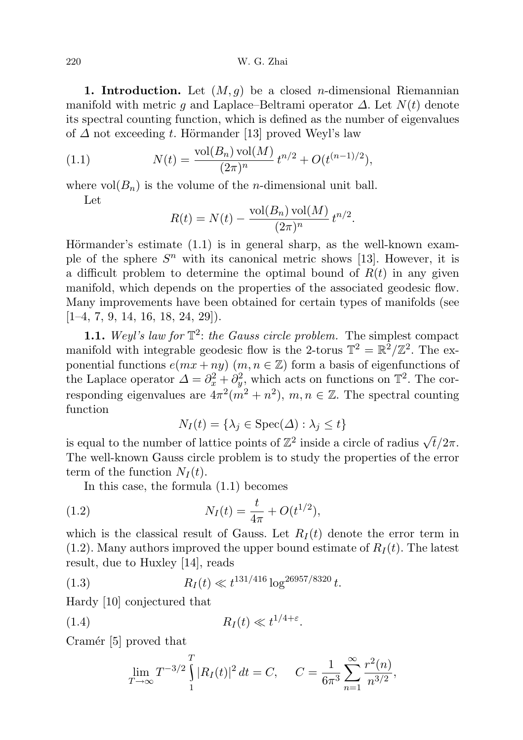220 W. G. Zhai

1. Introduction. Let  $(M, g)$  be a closed *n*-dimensional Riemannian manifold with metric g and Laplace–Beltrami operator  $\Delta$ . Let  $N(t)$  denote its spectral counting function, which is defined as the number of eigenvalues of  $\Delta$  not exceeding t. Hörmander [13] proved Weyl's law

(1.1) 
$$
N(t) = \frac{\text{vol}(B_n)\,\text{vol}(M)}{(2\pi)^n} t^{n/2} + O(t^{(n-1)/2}),
$$

where  $vol(B_n)$  is the volume of the *n*-dimensional unit ball.

Let

$$
R(t) = N(t) - \frac{\text{vol}(B_n) \text{ vol}(M)}{(2\pi)^n} t^{n/2}.
$$

Hörmander's estimate  $(1.1)$  is in general sharp, as the well-known example of the sphere  $S<sup>n</sup>$  with its canonical metric shows [13]. However, it is a difficult problem to determine the optimal bound of  $R(t)$  in any given manifold, which depends on the properties of the associated geodesic flow. Many improvements have been obtained for certain types of manifolds (see  $[1-4, 7, 9, 14, 16, 18, 24, 29]$ .

**1.1.** Weyl's law for  $\mathbb{T}^2$ : the Gauss circle problem. The simplest compact manifold with integrable geodesic flow is the 2-torus  $\mathbb{T}^2 = \mathbb{R}^2/\mathbb{Z}^2$ . The exponential functions  $e(mx + ny)$   $(m, n \in \mathbb{Z})$  form a basis of eigenfunctions of the Laplace operator  $\Delta = \partial_x^2 + \partial_y^2$ , which acts on functions on  $\mathbb{T}^2$ . The corresponding eigenvalues are  $4\pi^2(m^2+n^2), m, n \in \mathbb{Z}$ . The spectral counting function

$$
N_I(t) = \{\lambda_j \in \text{Spec}(\Delta) : \lambda_j \le t\}
$$

is equal to the number of lattice points of  $\mathbb{Z}^2$  inside a circle of radius  $\sqrt{t}/2\pi$ . The well-known Gauss circle problem is to study the properties of the error term of the function  $N_I(t)$ .

In this case, the formula (1.1) becomes

(1.2) 
$$
N_I(t) = \frac{t}{4\pi} + O(t^{1/2}),
$$

which is the classical result of Gauss. Let  $R_I(t)$  denote the error term in  $(1.2)$ . Many authors improved the upper bound estimate of  $R_I(t)$ . The latest result, due to Huxley [14], reads

(1.3) 
$$
R_I(t) \ll t^{131/416} \log^{26957/8320} t.
$$

Hardy [10] conjectured that

$$
(1.4) \t\t R_I(t) \ll t^{1/4+\varepsilon}.
$$

Cramér [5] proved that

$$
\lim_{T \to \infty} T^{-3/2} \int_{1}^{T} |R_I(t)|^2 dt = C, \quad C = \frac{1}{6\pi^3} \sum_{n=1}^{\infty} \frac{r^2(n)}{n^{3/2}},
$$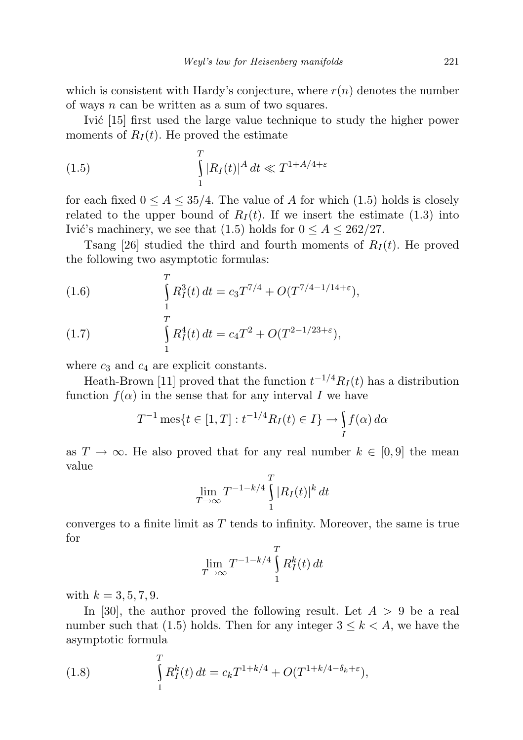which is consistent with Hardy's conjecture, where  $r(n)$  denotes the number of ways  $n$  can be written as a sum of two squares.

Ivic [15] first used the large value technique to study the higher power moments of  $R_I(t)$ . He proved the estimate

(1.5) 
$$
\int_{1}^{T} |R_I(t)|^A dt \ll T^{1+A/4+\varepsilon}
$$

for each fixed  $0 \leq A \leq 35/4$ . The value of A for which (1.5) holds is closely related to the upper bound of  $R_I(t)$ . If we insert the estimate (1.3) into Ivić's machinery, we see that (1.5) holds for  $0 \le A \le 262/27$ .

Tsang [26] studied the third and fourth moments of  $R_I(t)$ . He proved the following two asymptotic formulas:

(1.6) 
$$
\int_{1}^{T} R_I^3(t) dt = c_3 T^{7/4} + O(T^{7/4-1/14+\epsilon}),
$$

(1.7) 
$$
\int_{1}^{T} R_{I}^{4}(t) dt = c_{4}T^{2} + O(T^{2-1/23+\epsilon}),
$$

where  $c_3$  and  $c_4$  are explicit constants.

Heath-Brown [11] proved that the function  $t^{-1/4}R_I(t)$  has a distribution function  $f(\alpha)$  in the sense that for any interval I we have

$$
T^{-1}\,\text{mes}\{t \in [1,T] : t^{-1/4}R_I(t) \in I\} \to \int\limits_I f(\alpha)\,d\alpha
$$

as  $T \to \infty$ . He also proved that for any real number  $k \in [0, 9]$  the mean value

$$
\lim_{T \to \infty} T^{-1-k/4} \int_{1}^{T} |R_I(t)|^k dt
$$

converges to a finite limit as  $T$  tends to infinity. Moreover, the same is true for

$$
\lim_{T \to \infty} T^{-1-k/4} \int_{1}^{T} R_I^k(t) dt
$$

with  $k = 3, 5, 7, 9$ .

In [30], the author proved the following result. Let  $A > 9$  be a real number such that (1.5) holds. Then for any integer  $3 \leq k < A$ , we have the asymptotic formula

(1.8) 
$$
\int_{1}^{T} R_{I}^{k}(t) dt = c_{k} T^{1+k/4} + O(T^{1+k/4-\delta_{k}+\varepsilon}),
$$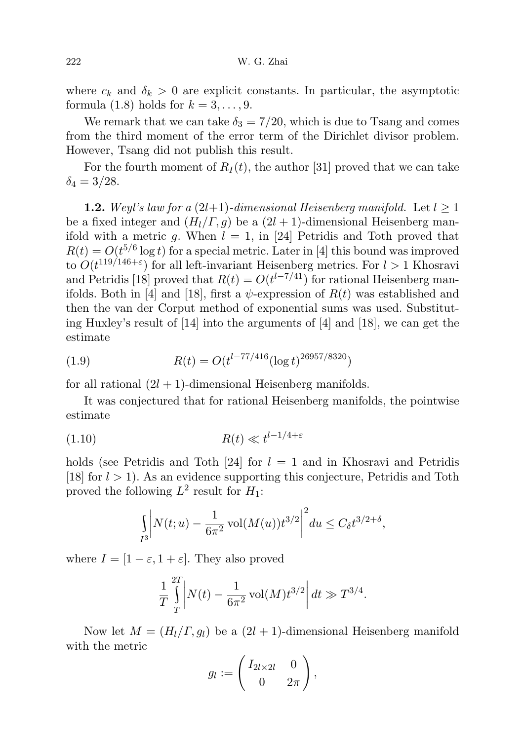where  $c_k$  and  $\delta_k > 0$  are explicit constants. In particular, the asymptotic formula (1.8) holds for  $k = 3, \ldots, 9$ .

We remark that we can take  $\delta_3 = 7/20$ , which is due to Tsang and comes from the third moment of the error term of the Dirichlet divisor problem. However, Tsang did not publish this result.

For the fourth moment of  $R_I(t)$ , the author [31] proved that we can take  $\delta_4 = 3/28.$ 

**1.2.** Weyl's law for a  $(2l+1)$ -dimensional Heisenberg manifold. Let  $l \geq 1$ be a fixed integer and  $(H_l/\Gamma, g)$  be a  $(2l + 1)$ -dimensional Heisenberg manifold with a metric g. When  $l = 1$ , in [24] Petridis and Toth proved that  $R(t) = O(t^{5/6} \log t)$  for a special metric. Later in [4] this bound was improved to  $O(t^{119/146+\epsilon})$  for all left-invariant Heisenberg metrics. For  $l > 1$  Khosravi and Petridis [18] proved that  $R(t) = O(t^{1-7/41})$  for rational Heisenberg manifolds. Both in [4] and [18], first a  $\psi$ -expression of  $R(t)$  was established and then the van der Corput method of exponential sums was used. Substituting Huxley's result of [14] into the arguments of [4] and [18], we can get the estimate

(1.9) 
$$
R(t) = O(t^{l-77/416} (\log t)^{26957/8320})
$$

for all rational  $(2l + 1)$ -dimensional Heisenberg manifolds.

It was conjectured that for rational Heisenberg manifolds, the pointwise estimate

$$
(1.10)\t\t R(t) \ll t^{l-1/4+\varepsilon}
$$

holds (see Petridis and Toth [24] for  $l = 1$  and in Khosravi and Petridis [18] for  $l > 1$ ]. As an evidence supporting this conjecture, Petridis and Toth proved the following  $L^2$  result for  $H_1$ :

$$
\int_{I^3} \left| N(t;u) - \frac{1}{6\pi^2} \operatorname{vol}(M(u)) t^{3/2} \right|^2 du \le C_{\delta} t^{3/2+\delta},
$$

where  $I = [1 - \varepsilon, 1 + \varepsilon]$ . They also proved

$$
\frac{1}{T} \int_{T}^{2T} \left| N(t) - \frac{1}{6\pi^2} \operatorname{vol}(M) t^{3/2} \right| dt \gg T^{3/4}.
$$

Now let  $M = (H_l/\Gamma, g_l)$  be a  $(2l + 1)$ -dimensional Heisenberg manifold with the metric

$$
g_l := \begin{pmatrix} I_{2l \times 2l} & 0 \\ 0 & 2\pi \end{pmatrix},
$$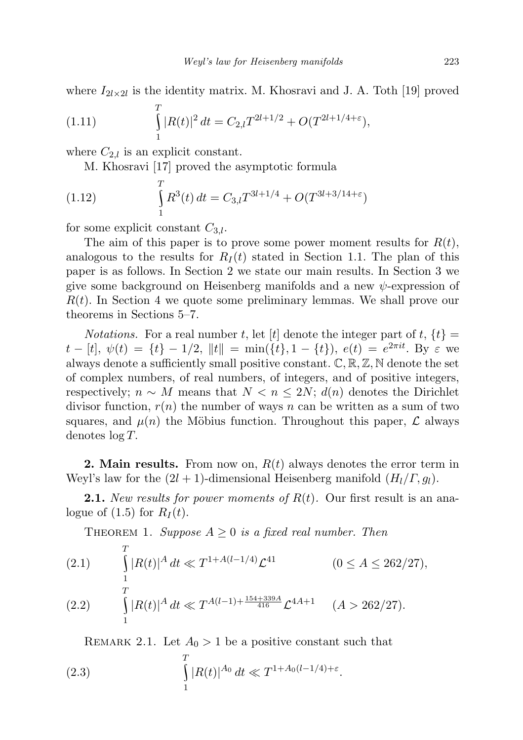where  $I_{2l\times2l}$  is the identity matrix. M. Khosravi and J. A. Toth [19] proved

(1.11) 
$$
\int_{1}^{T} |R(t)|^2 dt = C_{2,l} T^{2l+1/2} + O(T^{2l+1/4+\epsilon}),
$$

where  $C_{2,l}$  is an explicit constant.

M. Khosravi [17] proved the asymptotic formula

(1.12) 
$$
\int_{1}^{T} R^{3}(t) dt = C_{3,l} T^{3l+1/4} + O(T^{3l+3/14+\epsilon})
$$

for some explicit constant  $C_{3,l}$ .

The aim of this paper is to prove some power moment results for  $R(t)$ , analogous to the results for  $R_I(t)$  stated in Section 1.1. The plan of this paper is as follows. In Section 2 we state our main results. In Section 3 we give some background on Heisenberg manifolds and a new  $\psi$ -expression of  $R(t)$ . In Section 4 we quote some preliminary lemmas. We shall prove our theorems in Sections 5–7.

*Notations.* For a real number t, let [t] denote the integer part of  $t$ ,  $\{t\}$  =  $t - [t], \psi(t) = \{t\} - 1/2, \|t\| = \min(\{t\}, 1 - \{t\}), \ e(t) = e^{2\pi i t}.$  By  $\varepsilon$  we always denote a sufficiently small positive constant.  $\mathbb{C}, \mathbb{R}, \mathbb{Z}, \mathbb{N}$  denote the set of complex numbers, of real numbers, of integers, and of positive integers, respectively;  $n \sim M$  means that  $N < n \leq 2N$ ;  $d(n)$  denotes the Dirichlet divisor function,  $r(n)$  the number of ways n can be written as a sum of two squares, and  $\mu(n)$  the Möbius function. Throughout this paper,  $\mathcal L$  always denotes log T.

**2. Main results.** From now on,  $R(t)$  always denotes the error term in Weyl's law for the  $(2l + 1)$ -dimensional Heisenberg manifold  $(H_l/\Gamma, g_l)$ .

**2.1.** New results for power moments of  $R(t)$ . Our first result is an analogue of  $(1.5)$  for  $R_I(t)$ .

THEOREM 1. Suppose  $A \geq 0$  is a fixed real number. Then

(2.1) 
$$
\int_{1}^{T} |R(t)|^A dt \ll T^{1+A(l-1/4)} \mathcal{L}^{41} \qquad (0 \leq A \leq 262/27),
$$

$$
(2.2) \qquad \int_{1} |R(t)|^A \, dt \ll T^{A(l-1) + \frac{154 + 339A}{416}} \mathcal{L}^{4A+1} \qquad (A > 262/27).
$$

REMARK 2.1. Let  $A_0 > 1$  be a positive constant such that

(2.3) 
$$
\int_{1}^{T} |R(t)|^{A_0} dt \ll T^{1 + A_0(l - 1/4) + \varepsilon}.
$$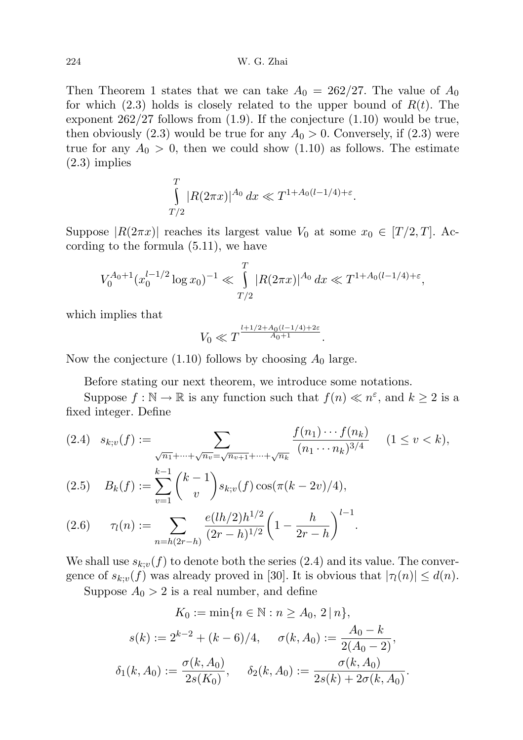Then Theorem 1 states that we can take  $A_0 = 262/27$ . The value of  $A_0$ for which  $(2.3)$  holds is closely related to the upper bound of  $R(t)$ . The exponent 262/27 follows from (1.9). If the conjecture (1.10) would be true, then obviously (2.3) would be true for any  $A_0 > 0$ . Conversely, if (2.3) were true for any  $A_0 > 0$ , then we could show (1.10) as follows. The estimate (2.3) implies

$$
\int_{T/2}^{T} |R(2\pi x)|^{A_0} dx \ll T^{1 + A_0(l - 1/4) + \varepsilon}.
$$

Suppose  $|R(2\pi x)|$  reaches its largest value  $V_0$  at some  $x_0 \in [T/2, T]$ . According to the formula (5.11), we have

$$
V_0^{A_0+1}(x_0^{l-1/2}\log x_0)^{-1} \ll \int\limits_{T/2}^T |R(2\pi x)|^{A_0} dx \ll T^{1+A_0(l-1/4)+\varepsilon},
$$

which implies that

$$
V_0 \ll T^{\frac{l+1/2 + A_0(l-1/4) + 2\varepsilon}{A_0 + 1}}.
$$

Now the conjecture  $(1.10)$  follows by choosing  $A_0$  large.

Before stating our next theorem, we introduce some notations.

Suppose  $f : \mathbb{N} \to \mathbb{R}$  is any function such that  $f(n) \ll n^{\varepsilon}$ , and  $k \geq 2$  is a fixed integer. Define

$$
(2.4) \quad s_{k;v}(f) := \sum_{\substack{\sqrt{n_1} + \dots + \sqrt{n_v} = \sqrt{n_{v+1}} + \dots + \sqrt{n_k} \\ k-1 \quad (1, \quad 1)} \frac{f(n_1) \cdots f(n_k)}{(n_1 \cdots n_k)^{3/4}} \quad (1 \le v < k),
$$

(2.5) 
$$
B_k(f) := \sum_{v=1}^{k-1} {k-1 \choose v} s_{k;v}(f) \cos(\pi(k-2v)/4),
$$

$$
(2.6) \qquad \tau_l(n) := \sum_{n=h(2r-h)} \frac{e(lh/2)h^{1/2}}{(2r-h)^{1/2}} \left(1 - \frac{h}{2r-h}\right)^{l-1}.
$$

We shall use  $s_{k;v}(f)$  to denote both the series (2.4) and its value. The convergence of  $s_{k;v}(f)$  was already proved in [30]. It is obvious that  $|\tau_l(n)| \leq d(n)$ .

Suppose  $A_0 > 2$  is a real number, and define

$$
K_0 := \min\{n \in \mathbb{N} : n \ge A_0, 2 | n\},\
$$

$$
s(k) := 2^{k-2} + (k-6)/4, \quad \sigma(k, A_0) := \frac{A_0 - k}{2(A_0 - 2)},\
$$

$$
\delta_1(k, A_0) := \frac{\sigma(k, A_0)}{2s(K_0)}, \quad \delta_2(k, A_0) := \frac{\sigma(k, A_0)}{2s(k) + 2\sigma(k, A_0)}.
$$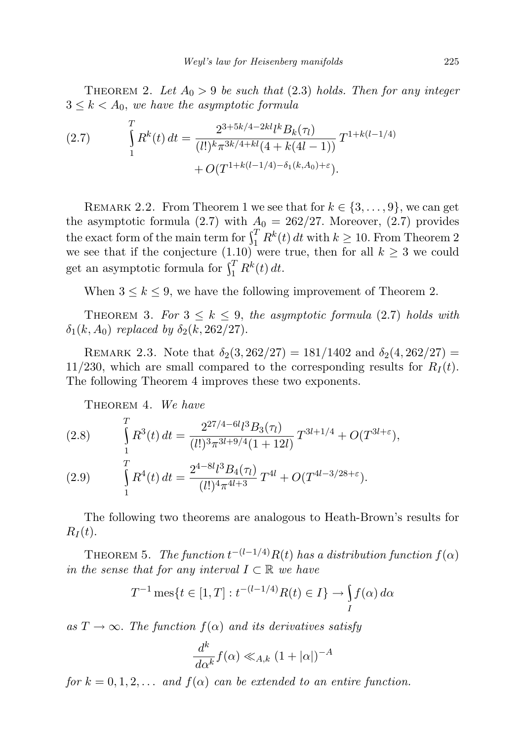THEOREM 2. Let  $A_0 > 9$  be such that (2.3) holds. Then for any integer  $3 \leq k < A_0$ , we have the asymptotic formula

(2.7) 
$$
\int_{1}^{T} R^{k}(t) dt = \frac{2^{3+5k/4-2kl} l^{k} B_{k}(\tau_{l})}{(l!)^{k} \pi^{3k/4+kl}(4+k(4l-1))} T^{1+k(l-1/4)} + O(T^{1+k(l-1/4)-\delta_{1}(k,A_{0})+\varepsilon}).
$$

REMARK 2.2. From Theorem 1 we see that for  $k \in \{3, \ldots, 9\}$ , we can get the asymptotic formula (2.7) with  $A_0 = 262/27$ . Moreover, (2.7) provides the exact form of the main term for  $\int_1^T R^k(t) dt$  with  $k \geq 10$ . From Theorem 2 we see that if the conjecture (1.10) were true, then for all  $k \geq 3$  we could get an asymptotic formula for  $\int_1^T R^k(t) dt$ .

When  $3 \leq k \leq 9$ , we have the following improvement of Theorem 2.

THEOREM 3. For  $3 \leq k \leq 9$ , the asymptotic formula (2.7) holds with  $\delta_1(k, A_0)$  replaced by  $\delta_2(k, 262/27)$ .

REMARK 2.3. Note that  $\delta_2(3, 262/27) = 181/1402$  and  $\delta_2(4, 262/27) =$ 11/230, which are small compared to the corresponding results for  $R_I(t)$ . The following Theorem 4 improves these two exponents.

THEOREM 4. We have

(2.8) 
$$
\int_{1}^{T} R^{3}(t) dt = \frac{2^{27/4 - 6l} l^{3} B_{3}(\tau_{l})}{(l!)^{3} \pi^{3l + 9/4} (1 + 12l)} T^{3l + 1/4} + O(T^{3l + \epsilon}),
$$

(2.9) 
$$
\int_{1}^{T} R^{4}(t) dt = \frac{2^{4-8l} \ell^{3} B_{4}(\tau_{l})}{(l!)^{4} \pi^{4l+3}} T^{4l} + O(T^{4l-3/28+\epsilon}).
$$

The following two theorems are analogous to Heath-Brown's results for  $R_I(t)$ .

THEOREM 5. The function  $t^{-(l-1/4)}R(t)$  has a distribution function  $f(\alpha)$ in the sense that for any interval  $I \subset \mathbb{R}$  we have

$$
T^{-1}\operatorname{mes}\{t \in [1, T] : t^{-(l-1/4)}R(t) \in I\} \to \int_{I} f(\alpha) d\alpha
$$

as  $T \to \infty$ . The function  $f(\alpha)$  and its derivatives satisfy

$$
\frac{d^k}{d\alpha^k} f(\alpha) \ll_{A,k} (1 + |\alpha|)^{-A}
$$

for  $k = 0, 1, 2, \ldots$  and  $f(\alpha)$  can be extended to an entire function.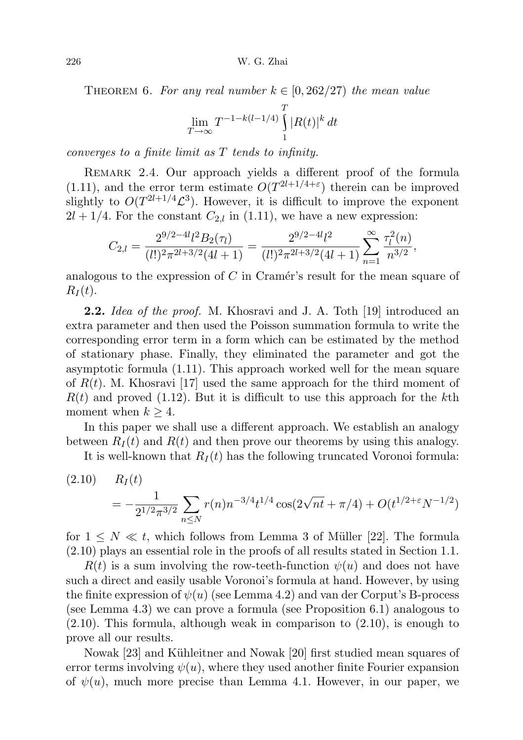THEOREM 6. For any real number  $k \in [0, 262/27)$  the mean value

$$
\lim_{T \to \infty} T^{-1 - k(l - 1/4)} \int_{1}^{T} |R(t)|^k dt
$$

converges to a finite limit as T tends to infinity.

REMARK 2.4. Our approach yields a different proof of the formula  $(1.11)$ , and the error term estimate  $O(T^{2l+1/4+\epsilon})$  therein can be improved slightly to  $O(T^{2l+1/4}\mathcal{L}^3)$ . However, it is difficult to improve the exponent  $2l + 1/4$ . For the constant  $C_{2,l}$  in (1.11), we have a new expression:

$$
C_{2,l} = \frac{2^{9/2 - 4l} l^2 B_2(\tau_l)}{(l!)^2 \pi^{2l+3/2} (4l+1)} = \frac{2^{9/2 - 4l} l^2}{(l!)^2 \pi^{2l+3/2} (4l+1)} \sum_{n=1}^{\infty} \frac{\tau_l^2(n)}{n^{3/2}},
$$

analogous to the expression of  $C$  in Cramér's result for the mean square of  $R_I(t)$ .

**2.2.** Idea of the proof. M. Khosravi and J. A. Toth [19] introduced an extra parameter and then used the Poisson summation formula to write the corresponding error term in a form which can be estimated by the method of stationary phase. Finally, they eliminated the parameter and got the asymptotic formula (1.11). This approach worked well for the mean square of  $R(t)$ . M. Khosravi [17] used the same approach for the third moment of  $R(t)$  and proved (1.12). But it is difficult to use this approach for the kth moment when  $k \geq 4$ .

In this paper we shall use a different approach. We establish an analogy between  $R_I(t)$  and  $R(t)$  and then prove our theorems by using this analogy.

It is well-known that  $R_I(t)$  has the following truncated Voronoi formula:

(2.10) 
$$
R_I(t) = -\frac{1}{2^{1/2}\pi^{3/2}} \sum_{n \le N} r(n)n^{-3/4}t^{1/4}\cos(2\sqrt{nt} + \pi/4) + O(t^{1/2+\epsilon}N^{-1/2})
$$

for  $1 \leq N \leq t$ , which follows from Lemma 3 of Müller [22]. The formula (2.10) plays an essential role in the proofs of all results stated in Section 1.1.

 $R(t)$  is a sum involving the row-teeth-function  $\psi(u)$  and does not have such a direct and easily usable Voronoi's formula at hand. However, by using the finite expression of  $\psi(u)$  (see Lemma 4.2) and van der Corput's B-process (see Lemma 4.3) we can prove a formula (see Proposition 6.1) analogous to (2.10). This formula, although weak in comparison to (2.10), is enough to prove all our results.

Nowak [23] and Kühleitner and Nowak [20] first studied mean squares of error terms involving  $\psi(u)$ , where they used another finite Fourier expansion of  $\psi(u)$ , much more precise than Lemma 4.1. However, in our paper, we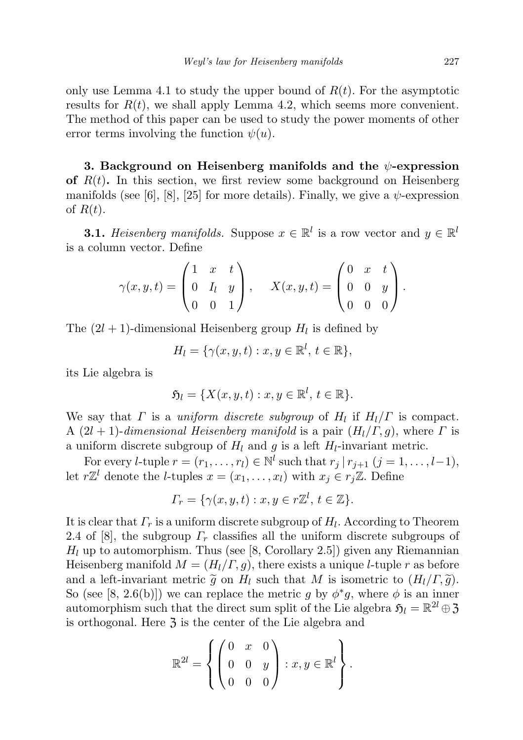only use Lemma 4.1 to study the upper bound of  $R(t)$ . For the asymptotic results for  $R(t)$ , we shall apply Lemma 4.2, which seems more convenient. The method of this paper can be used to study the power moments of other error terms involving the function  $\psi(u)$ .

3. Background on Heisenberg manifolds and the  $\psi$ -expression of  $R(t)$ . In this section, we first review some background on Heisenberg manifolds (see [6], [8], [25] for more details). Finally, we give a  $\psi$ -expression of  $R(t)$ .

**3.1.** Heisenberg manifolds. Suppose  $x \in \mathbb{R}^l$  is a row vector and  $y \in \mathbb{R}^l$ is a column vector. Define

$$
\gamma(x, y, t) = \begin{pmatrix} 1 & x & t \\ 0 & I_l & y \\ 0 & 0 & 1 \end{pmatrix}, \quad X(x, y, t) = \begin{pmatrix} 0 & x & t \\ 0 & 0 & y \\ 0 & 0 & 0 \end{pmatrix}.
$$

The  $(2l + 1)$ -dimensional Heisenberg group  $H_l$  is defined by

 $H_l = \{ \gamma(x,y,t) : x, y \in \mathbb{R}^l, t \in \mathbb{R} \},\$ 

its Lie algebra is

$$
\mathfrak{H}_l = \{ X(x, y, t) : x, y \in \mathbb{R}^l, t \in \mathbb{R} \}.
$$

We say that  $\Gamma$  is a uniform discrete subgroup of  $H_l$  if  $H_l/\Gamma$  is compact. A  $(2l + 1)$ -dimensional Heisenberg manifold is a pair  $(H_l/\Gamma, g)$ , where  $\Gamma$  is a uniform discrete subgroup of  $H_l$  and g is a left  $H_l$ -invariant metric.

For every *l*-tuple  $r = (r_1, \ldots, r_l) \in \mathbb{N}^l$  such that  $r_j | r_{j+1}$   $(j = 1, \ldots, l-1)$ , let  $r\mathbb{Z}^l$  denote the *l*-tuples  $x = (x_1, \ldots, x_l)$  with  $x_j \in r_j\mathbb{Z}$ . Define

$$
\Gamma_r = \{ \gamma(x, y, t) : x, y \in r\mathbb{Z}^l, t \in \mathbb{Z} \}.
$$

It is clear that  $\Gamma_r$  is a uniform discrete subgroup of  $H_l$ . According to Theorem 2.4 of [8], the subgroup  $\Gamma_r$  classifies all the uniform discrete subgroups of  $H_l$  up to automorphism. Thus (see [8, Corollary 2.5]) given any Riemannian Heisenberg manifold  $M = (H_l/\Gamma, g)$ , there exists a unique *l*-tuple r as before and a left-invariant metric  $\tilde{g}$  on  $H_l$  such that M is isometric to  $(H_l/\Gamma,\tilde{g})$ . So (see [8, 2.6(b)]) we can replace the metric g by  $\phi^*g$ , where  $\phi$  is an inner automorphism such that the direct sum split of the Lie algebra  $\mathfrak{H}_l = \mathbb{R}^{2l} \oplus \mathfrak{Z}$ is orthogonal. Here  $\mathfrak{Z}$  is the center of the Lie algebra and

$$
\mathbb{R}^{2l} = \left\{ \begin{pmatrix} 0 & x & 0 \\ 0 & 0 & y \\ 0 & 0 & 0 \end{pmatrix} : x, y \in \mathbb{R}^l \right\}.
$$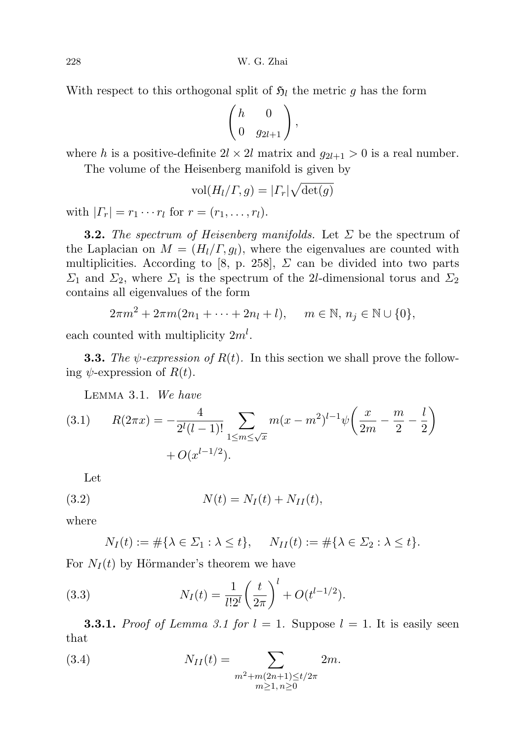With respect to this orthogonal split of  $\mathfrak{H}_l$  the metric g has the form

$$
\begin{pmatrix} h & 0 \\ 0 & g_{2l+1} \end{pmatrix},
$$

where h is a positive-definite  $2l \times 2l$  matrix and  $g_{2l+1} > 0$  is a real number.

The volume of the Heisenberg manifold is given by

$$
\text{vol}(H_l/\Gamma,g)=|\Gamma_r|\sqrt{\det(g)}
$$

with  $| \Gamma_r | = r_1 \cdots r_l$  for  $r = (r_1, \ldots, r_l)$ .

**3.2.** The spectrum of Heisenberg manifolds. Let  $\Sigma$  be the spectrum of the Laplacian on  $M = (H_l / \Gamma, g_l)$ , where the eigenvalues are counted with multiplicities. According to [8, p. 258],  $\Sigma$  can be divided into two parts  $\Sigma_1$  and  $\Sigma_2$ , where  $\Sigma_1$  is the spectrum of the 2l-dimensional torus and  $\Sigma_2$ contains all eigenvalues of the form

$$
2\pi m^2 + 2\pi m (2n_1 + \dots + 2n_l + l), \quad m \in \mathbb{N}, n_j \in \mathbb{N} \cup \{0\},
$$

each counted with multiplicity  $2m<sup>l</sup>$ .

**3.3.** The  $\psi$ -expression of  $R(t)$ . In this section we shall prove the following  $\psi$ -expression of  $R(t)$ .

Lemma 3.1. We have

(3.1) 
$$
R(2\pi x) = -\frac{4}{2^l(l-1)!} \sum_{1 \le m \le \sqrt{x}} m(x - m^2)^{l-1} \psi\left(\frac{x}{2m} - \frac{m}{2} - \frac{l}{2}\right) + O(x^{l-1/2}).
$$

Let

(3.2) 
$$
N(t) = N_I(t) + N_{II}(t),
$$

where

$$
N_I(t) := \#\{\lambda \in \Sigma_1 : \lambda \le t\}, \quad N_{II}(t) := \#\{\lambda \in \Sigma_2 : \lambda \le t\}.
$$

For  $N_I(t)$  by Hörmander's theorem we have

(3.3) 
$$
N_I(t) = \frac{1}{l!2^l} \left(\frac{t}{2\pi}\right)^l + O(t^{l-1/2}).
$$

**3.3.1.** Proof of Lemma 3.1 for  $l = 1$ . Suppose  $l = 1$ . It is easily seen that

(3.4) 
$$
N_{II}(t) = \sum_{\substack{m^2 + m(2n+1) \le t/2\pi \\ m \ge 1, n \ge 0}} 2m.
$$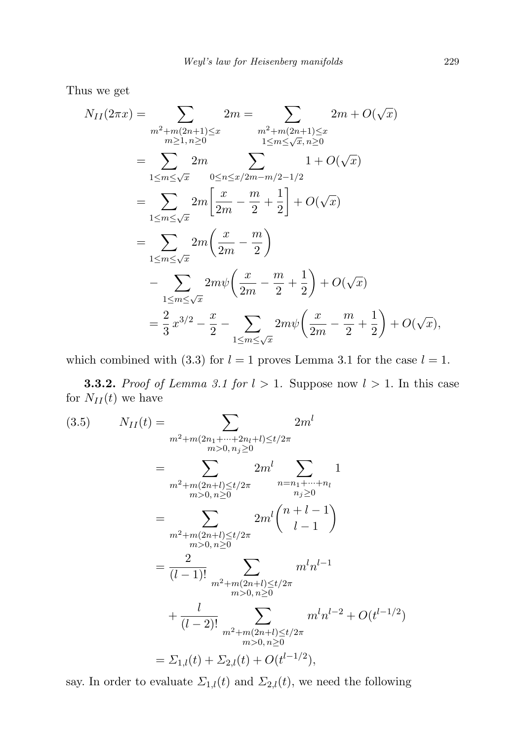Thus we get

$$
N_{II}(2\pi x) = \sum_{\substack{m^2 + m(2n+1) \le x \\ m \ge 1, n \ge 0}} 2m = \sum_{\substack{m^2 + m(2n+1) \le x \\ 1 \le m \le \sqrt{x}, n \ge 0}} 2m + O(\sqrt{x})
$$
  
\n
$$
= \sum_{1 \le m \le \sqrt{x}} 2m \sum_{0 \le n \le x/2m - m/2 - 1/2} 1 + O(\sqrt{x})
$$
  
\n
$$
= \sum_{1 \le m \le \sqrt{x}} 2m \left[ \frac{x}{2m} - \frac{m}{2} + \frac{1}{2} \right] + O(\sqrt{x})
$$
  
\n
$$
= \sum_{1 \le m \le \sqrt{x}} 2m \left( \frac{x}{2m} - \frac{m}{2} \right)
$$
  
\n
$$
- \sum_{1 \le m \le \sqrt{x}} 2m\psi \left( \frac{x}{2m} - \frac{m}{2} + \frac{1}{2} \right) + O(\sqrt{x})
$$
  
\n
$$
= \frac{2}{3} x^{3/2} - \frac{x}{2} - \sum_{1 \le m \le \sqrt{x}} 2m\psi \left( \frac{x}{2m} - \frac{m}{2} + \frac{1}{2} \right) + O(\sqrt{x}),
$$

which combined with (3.3) for  $l = 1$  proves Lemma 3.1 for the case  $l = 1$ .

**3.3.2.** Proof of Lemma 3.1 for  $l > 1$ . Suppose now  $l > 1$ . In this case for  $N_{II}(t)$  we have

$$
(3.5) \t N_{II}(t) = \sum_{\substack{m^2 + m(2n_1 + \dots + 2n_l + l) \le t/2\pi \\ m > 0, n_j \ge 0}} 2m^l
$$
  
\t
$$
= \sum_{\substack{m^2 + m(2n + l) \le t/2\pi \\ m > 0, n \ge 0}} 2m^l \sum_{\substack{n = n_1 + \dots + n_l \\ n_j \ge 0}} 1
$$
  
\t
$$
= \sum_{\substack{m^2 + m(2n + l) \le t/2\pi \\ m > 0, n \ge 0}} 2m^l {n + l - 1 \choose l - 1}
$$
  
\t
$$
= \frac{2}{(l - 1)!} \sum_{\substack{m^2 + m(2n + l) \le t/2\pi \\ m > 0, n \ge 0}} m^l n^{l - 1}
$$
  
\t
$$
+ \frac{l}{(l - 2)!} \sum_{\substack{m^2 + m(2n + l) \le t/2\pi \\ m > 0, n \ge 0}} m^l n^{l - 2} + O(t^{l - 1/2})
$$
  
\t
$$
= \sum_{1,l} (t) + \sum_{2,l} (t) + O(t^{l - 1/2}),
$$

say. In order to evaluate  $\Sigma_{1,l}(t)$  and  $\Sigma_{2,l}(t)$ , we need the following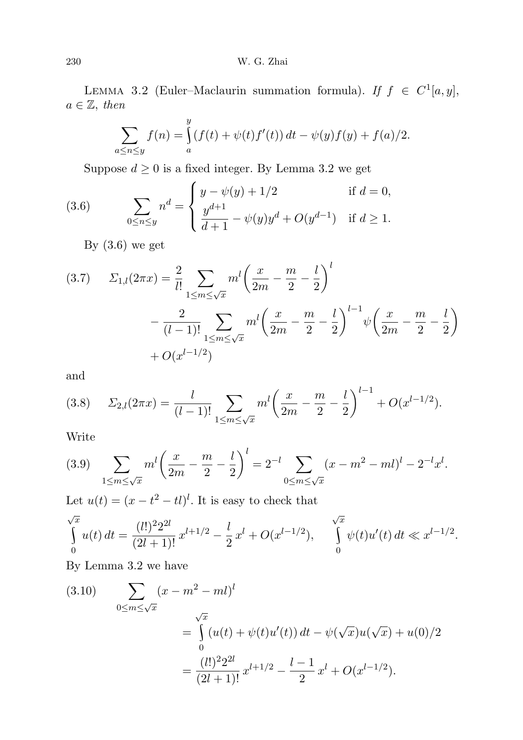LEMMA 3.2 (Euler–Maclaurin summation formula). If  $f \in C^1[a, y]$ ,  $a \in \mathbb{Z}$ , then

$$
\sum_{a \le n \le y} f(n) = \int_{a}^{y} (f(t) + \psi(t)f'(t)) dt - \psi(y)f(y) + f(a)/2.
$$

Suppose  $d \geq 0$  is a fixed integer. By Lemma 3.2 we get

(3.6) 
$$
\sum_{0 \le n \le y} n^d = \begin{cases} y - \psi(y) + 1/2 & \text{if } d = 0, \\ \frac{y^{d+1}}{d+1} - \psi(y)y^d + O(y^{d-1}) & \text{if } d \ge 1. \end{cases}
$$

By  $(3.6)$  we get

$$
(3.7) \qquad \Sigma_{1,l}(2\pi x) = \frac{2}{l!} \sum_{1 \le m \le \sqrt{x}} m^l \left(\frac{x}{2m} - \frac{m}{2} - \frac{l}{2}\right)^l
$$

$$
- \frac{2}{(l-1)!} \sum_{1 \le m \le \sqrt{x}} m^l \left(\frac{x}{2m} - \frac{m}{2} - \frac{l}{2}\right)^{l-1} \psi \left(\frac{x}{2m} - \frac{m}{2} - \frac{l}{2}\right)
$$

$$
+ O(x^{l-1/2})
$$

and

$$
(3.8) \qquad \Sigma_{2,l}(2\pi x) = \frac{l}{(l-1)!} \sum_{1 \le m \le \sqrt{x}} m^l \left(\frac{x}{2m} - \frac{m}{2} - \frac{l}{2}\right)^{l-1} + O(x^{l-1/2}).
$$

Write

$$
(3.9) \sum_{1 \le m \le \sqrt{x}} m^l \left( \frac{x}{2m} - \frac{m}{2} - \frac{l}{2} \right)^l = 2^{-l} \sum_{0 \le m \le \sqrt{x}} (x - m^2 - ml)^l - 2^{-l} x^l.
$$

Let  $u(t) = (x - t^2 - t)^l$ . It is easy to check that

$$
\int_{0}^{\sqrt{x}} u(t) dt = \frac{(l!)^2 2^{2l}}{(2l+1)!} x^{l+1/2} - \frac{l}{2} x^l + O(x^{l-1/2}), \quad \int_{0}^{\sqrt{x}} \psi(t) u'(t) dt \ll x^{l-1/2}.
$$

By Lemma 3.2 we have

(3.10) 
$$
\sum_{0 \le m \le \sqrt{x}} (x - m^2 - ml)^l
$$

$$
= \int_0^{\sqrt{x}} (u(t) + \psi(t)u'(t)) dt - \psi(\sqrt{x})u(\sqrt{x}) + u(0)/2
$$

$$
= \frac{(l!)^2 2^{2l}}{(2l+1)!} x^{l+1/2} - \frac{l-1}{2} x^l + O(x^{l-1/2}).
$$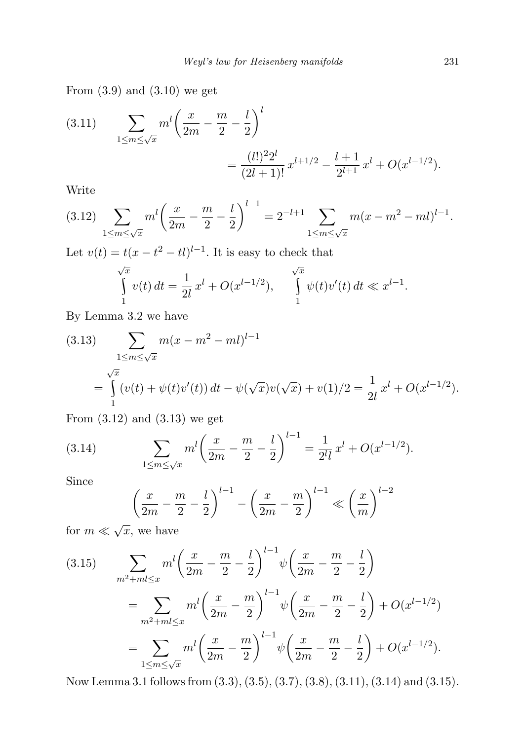From  $(3.9)$  and  $(3.10)$  we get

(3.11) 
$$
\sum_{1 \le m \le \sqrt{x}} m^l \left( \frac{x}{2m} - \frac{m}{2} - \frac{l}{2} \right)^l = \frac{(l!)^2 2^l}{(2l+1)!} x^{l+1/2} - \frac{l+1}{2^{l+1}} x^l + O(x^{l-1/2}).
$$

Write

$$
(3.12) \sum_{1 \le m \le \sqrt{x}} m^l \left(\frac{x}{2m} - \frac{m}{2} - \frac{l}{2}\right)^{l-1} = 2^{-l+1} \sum_{1 \le m \le \sqrt{x}} m(x - m^2 - ml)^{l-1}.
$$

Let  $v(t) = t(x - t^2 - t)^{l-1}$ . It is easy to check that

$$
\int_{1}^{\sqrt{x}} v(t) dt = \frac{1}{2l} x^{l} + O(x^{l-1/2}), \quad \int_{1}^{\sqrt{x}} \psi(t) v'(t) dt \ll x^{l-1}.
$$

By Lemma 3.2 we have

(3.13) 
$$
\sum_{1 \le m \le \sqrt{x}} m(x - m^2 - ml)^{l-1}
$$

$$
= \int_{1}^{\sqrt{x}} (v(t) + \psi(t)v'(t)) dt - \psi(\sqrt{x})v(\sqrt{x}) + v(1)/2 = \frac{1}{2l}x^l + O(x^{l-1/2}).
$$

From (3.12) and (3.13) we get

(3.14) 
$$
\sum_{1 \le m \le \sqrt{x}} m^l \left( \frac{x}{2m} - \frac{m}{2} - \frac{l}{2} \right)^{l-1} = \frac{1}{2^l l} x^l + O(x^{l-1/2}).
$$

Since

$$
\left(\frac{x}{2m} - \frac{m}{2} - \frac{l}{2}\right)^{l-1} - \left(\frac{x}{2m} - \frac{m}{2}\right)^{l-1} \ll \left(\frac{x}{m}\right)^{l-2}
$$

for  $m \ll \sqrt{x}$ , we have

$$
(3.15) \qquad \sum_{m^2 + ml \le x} m^l \left(\frac{x}{2m} - \frac{m}{2} - \frac{l}{2}\right)^{l-1} \psi\left(\frac{x}{2m} - \frac{m}{2} - \frac{l}{2}\right)
$$

$$
= \sum_{m^2 + ml \le x} m^l \left(\frac{x}{2m} - \frac{m}{2}\right)^{l-1} \psi\left(\frac{x}{2m} - \frac{m}{2} - \frac{l}{2}\right) + O(x^{l-1/2})
$$

$$
= \sum_{1 \le m \le \sqrt{x}} m^l \left(\frac{x}{2m} - \frac{m}{2}\right)^{l-1} \psi\left(\frac{x}{2m} - \frac{m}{2} - \frac{l}{2}\right) + O(x^{l-1/2}).
$$

Now Lemma 3.1 follows from (3.3), (3.5), (3.7), (3.8), (3.11), (3.14) and (3.15).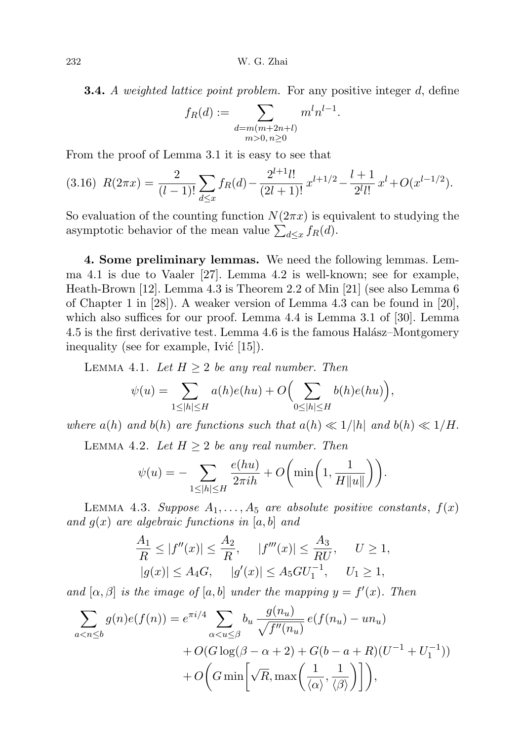**3.4.** A weighted lattice point problem. For any positive integer d, define

$$
f_R(d) := \sum_{\substack{d=m(m+2n+l) \\ m>0, n\geq 0}} m^l n^{l-1}.
$$

From the proof of Lemma 3.1 it is easy to see that

$$
(3.16)\ \ R(2\pi x) = \frac{2}{(l-1)!} \sum_{d \le x} f_R(d) - \frac{2^{l+1}l!}{(2l+1)!} x^{l+1/2} - \frac{l+1}{2^l l!} x^l + O(x^{l-1/2}).
$$

So evaluation of the counting function  $N(2\pi x)$  is equivalent to studying the asymptotic behavior of the mean value  $\sum_{d\leq x} f_R(d)$ .

4. Some preliminary lemmas. We need the following lemmas. Lemma 4.1 is due to Vaaler [27]. Lemma 4.2 is well-known; see for example, Heath-Brown [12]. Lemma 4.3 is Theorem 2.2 of Min [21] (see also Lemma 6 of Chapter 1 in [28]). A weaker version of Lemma 4.3 can be found in [20], which also suffices for our proof. Lemma 4.4 is Lemma 3.1 of [30]. Lemma 4.5 is the first derivative test. Lemma 4.6 is the famous Halász–Montgomery inequality (see for example, Ivic  $|15|$ ).

LEMMA 4.1. Let  $H \geq 2$  be any real number. Then

$$
\psi(u) = \sum_{1 \le |h| \le H} a(h)e(hu) + O\Big(\sum_{0 \le |h| \le H} b(h)e(hu)\Big),\,
$$

where  $a(h)$  and  $b(h)$  are functions such that  $a(h) \ll 1/h$  and  $b(h) \ll 1/H$ .

LEMMA 4.2. Let  $H \geq 2$  be any real number. Then

$$
\psi(u) = -\sum_{1 \le |h| \le H} \frac{e(hu)}{2\pi ih} + O\bigg(\min\bigg(1, \frac{1}{H||u||}\bigg)\bigg).
$$

LEMMA 4.3. Suppose  $A_1, \ldots, A_5$  are absolute positive constants,  $f(x)$ and  $g(x)$  are algebraic functions in [a, b] and

$$
\frac{A_1}{R} \le |f''(x)| \le \frac{A_2}{R}, \quad |f'''(x)| \le \frac{A_3}{RU}, \quad U \ge 1,
$$
  
 $|g(x)| \le A_4G, \quad |g'(x)| \le A_5GU_1^{-1}, \quad U_1 \ge 1,$ 

and  $[\alpha, \beta]$  is the image of  $[a, b]$  under the mapping  $y = f'(x)$ . Then

$$
\sum_{a < n \le b} g(n)e(f(n)) = e^{\pi i/4} \sum_{\alpha < u \le \beta} b_u \frac{g(n_u)}{\sqrt{f''(n_u)}} e(f(n_u) - un_u) + O(G \log(\beta - \alpha + 2) + G(b - a + R)(U^{-1} + U_1^{-1})) + O\left(G \min\left[\sqrt{R}, \max\left(\frac{1}{\langle \alpha \rangle}, \frac{1}{\langle \beta \rangle}\right)\right]\right),
$$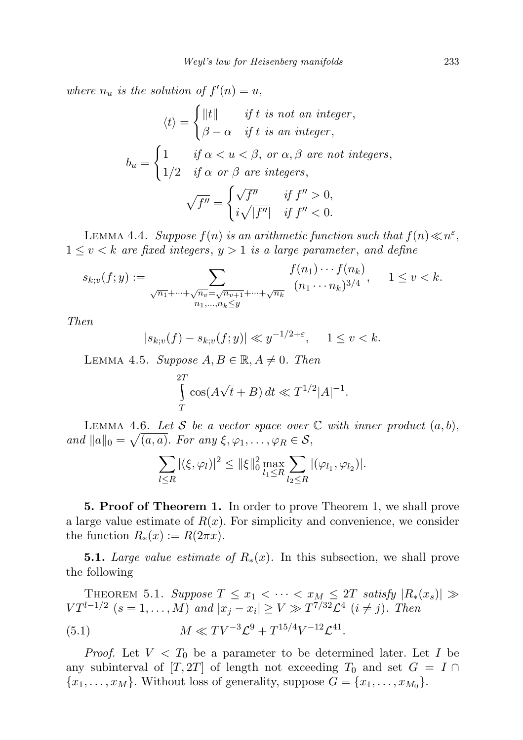where  $n_u$  is the solution of  $f'(n) = u$ ,

$$
\langle t \rangle = \begin{cases} ||t|| & \text{if } t \text{ is not an integer,} \\ \beta - \alpha & \text{if } t \text{ is an integer,} \end{cases}
$$
\n
$$
b_u = \begin{cases} 1 & \text{if } \alpha < u < \beta, \text{ or } \alpha, \beta \text{ are not integers,} \\ 1/2 & \text{if } \alpha \text{ or } \beta \text{ are integers,} \end{cases}
$$
\n
$$
\sqrt{f''} = \begin{cases} \sqrt{f''} & \text{if } f'' > 0, \\ i\sqrt{|f''|} & \text{if } f'' < 0. \end{cases}
$$

LEMMA 4.4. Suppose  $f(n)$  is an arithmetic function such that  $f(n) \ll n^{\varepsilon}$ ,  $1 \leq v < k$  are fixed integers,  $y > 1$  is a large parameter, and define

$$
s_{k;v}(f; y) := \sum_{\substack{\sqrt{n_1} + \dots + \sqrt{n_v} = \sqrt{n_{v+1}} + \dots + \sqrt{n_k} \\ n_1, \dots, n_k \le y}} \frac{f(n_1) \cdots f(n_k)}{(n_1 \cdots n_k)^{3/4}}, \quad 1 \le v < k.
$$

Then

$$
|s_{k;v}(f) - s_{k;v}(f; y)| \ll y^{-1/2 + \varepsilon}, \quad 1 \le v < k.
$$

LEMMA 4.5. Suppose  $A, B \in \mathbb{R}, A \neq 0$ . Then

$$
\int_{T}^{2T} \cos(A\sqrt{t} + B) dt \ll T^{1/2} |A|^{-1}.
$$

LEMMA 4.6. Let S be a vector space over  $\mathbb C$  with inner product  $(a, b)$ , and  $||a||_0 = \sqrt{(a, a)}$ . For any  $\xi, \varphi_1, \ldots, \varphi_R \in \mathcal{S}$ ,

$$
\sum_{l \leq R} |(\xi, \varphi_l)|^2 \leq ||\xi||_0^2 \max_{l_1 \leq R} \sum_{l_2 \leq R} |(\varphi_{l_1}, \varphi_{l_2})|.
$$

5. Proof of Theorem 1. In order to prove Theorem 1, we shall prove a large value estimate of  $R(x)$ . For simplicity and convenience, we consider the function  $R_*(x) := R(2\pi x)$ .

**5.1.** Large value estimate of  $R_*(x)$ . In this subsection, we shall prove the following

THEOREM 5.1. Suppose  $T \le x_1 < \cdots < x_M \le 2T$  satisfy  $|R_*(x_s)| \gg$  $VT^{l-1/2}$   $(s = 1, ..., M)$  and  $|x_j - x_i| \ge V \gg T^{7/32} \mathcal{L}^4$   $(i \ne j)$ . Then (5.1)  $M \ll TV^{-3} \mathcal{L}^9 + T^{15/4} V^{-12} \mathcal{L}^{41}.$ 

*Proof.* Let  $V < T_0$  be a parameter to be determined later. Let I be any subinterval of [T, 2T] of length not exceeding  $T_0$  and set  $G = I \cap$  ${x_1, \ldots, x_M}$ . Without loss of generality, suppose  $G = {x_1, \ldots, x_{M_0}}$ .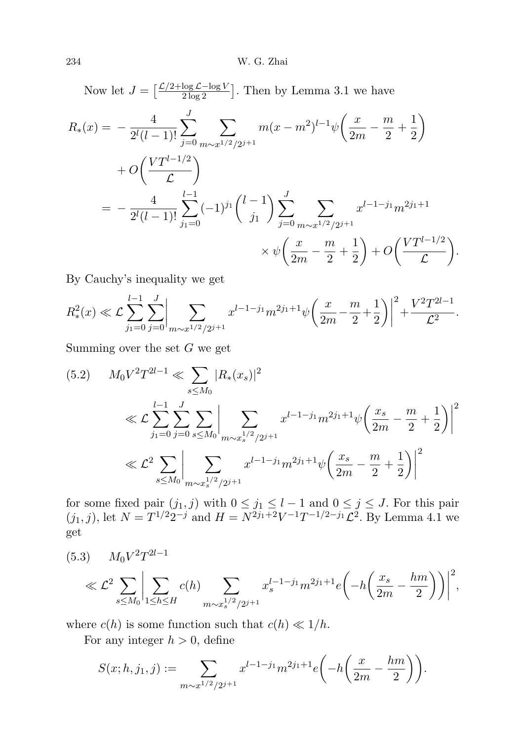Now let  $J = \left[\frac{\mathcal{L}/2 + \log \mathcal{L} - \log V}{2 \log 2}\right]$ . Then by Lemma 3.1 we have

$$
R_{*}(x) = -\frac{4}{2^{l}(l-1)!} \sum_{j=0}^{J} \sum_{m \sim x^{1/2}/2^{j+1}} m(x - m^{2})^{l-1} \psi\left(\frac{x}{2m} - \frac{m}{2} + \frac{1}{2}\right)
$$
  
+  $O\left(\frac{VT^{l-1/2}}{\mathcal{L}}\right)$   
=  $-\frac{4}{2^{l}(l-1)!} \sum_{j_1=0}^{l-1} (-1)^{j_1} {l-1 \choose j_1} \sum_{j=0}^{J} \sum_{m \sim x^{1/2}/2^{j+1}} x^{l-1-j_1} m^{2j_1+1}$   
 $\times \psi\left(\frac{x}{2m} - \frac{m}{2} + \frac{1}{2}\right) + O\left(\frac{VT^{l-1/2}}{\mathcal{L}}\right).$ 

By Cauchy's inequality we get

$$
R_*^2(x) \ll \mathcal{L} \sum_{j_1=0}^{l-1} \sum_{j=0}^J \left| \sum_{m \sim x^{1/2}/2^{j+1}} x^{l-1-j_1} m^{2j_1+1} \psi \left( \frac{x}{2m} - \frac{m}{2} + \frac{1}{2} \right) \right|^2 + \frac{V^2 T^{2l-1}}{\mathcal{L}^2}.
$$

Summing over the set  $G$  we get

$$
(5.2) \qquad M_0 V^2 T^{2l-1} \ll \sum_{s \le M_0} |R_*(x_s)|^2
$$
  

$$
\ll \mathcal{L} \sum_{j_1=0}^{l-1} \sum_{j=0}^J \sum_{s \le M_0} \left| \sum_{m \sim x_s^{1/2}/2^{j+1}} x^{l-1-j_1} m^{2j_1+1} \psi \left( \frac{x_s}{2m} - \frac{m}{2} + \frac{1}{2} \right) \right|^2
$$
  

$$
\ll \mathcal{L}^2 \sum_{s \le M_0} \left| \sum_{m \sim x_s^{1/2}/2^{j+1}} x^{l-1-j_1} m^{2j_1+1} \psi \left( \frac{x_s}{2m} - \frac{m}{2} + \frac{1}{2} \right) \right|^2
$$

for some fixed pair  $(j_1, j)$  with  $0 \le j_1 \le l - 1$  and  $0 \le j \le J$ . For this pair  $(j_1, j)$ , let  $N = T^{1/2} 2^{-j}$  and  $H = N^{2j_1+2} V^{-1} T^{-1/2-j_1} \mathcal{L}^2$ . By Lemma 4.1 we get

$$
(5.3) \tM_0 V^2 T^{2l-1}
$$
  
\$\ll \mathcal{L}^2 \sum\_{s \le M\_0} \left| \sum\_{1 \le h \le H} c(h) \sum\_{m \sim x\_s^{1/2}/2^{j+1}} x\_s^{l-1-j\_1} m^{2j\_1+1} e\left(-h \left(\frac{x\_s}{2m} - \frac{hm}{2}\right)\right)\right|^2,

where  $c(h)$  is some function such that  $c(h) \ll 1/h$ .

For any integer  $h > 0$ , define

$$
S(x; h, j_1, j) := \sum_{m \sim x^{1/2}/2^{j+1}} x^{l-1-j_1} m^{2j_1+1} e\left(-h\left(\frac{x}{2m} - \frac{hm}{2}\right)\right).
$$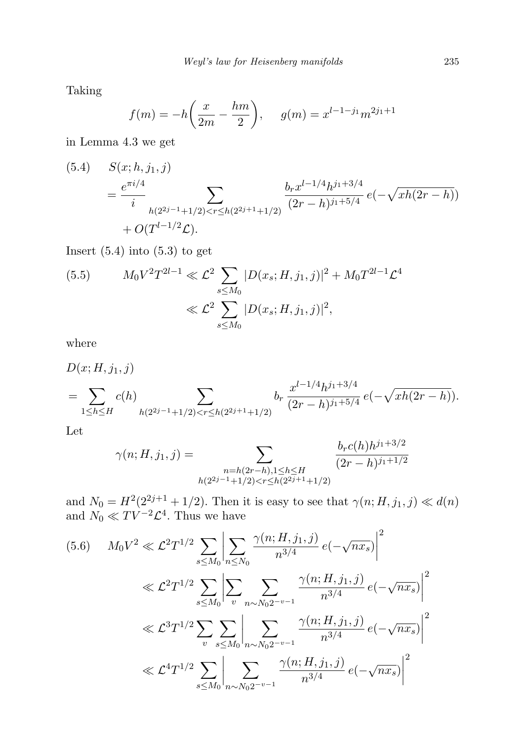Taking

$$
f(m) = -h\left(\frac{x}{2m} - \frac{hm}{2}\right), \quad g(m) = x^{l-1-j_1}m^{2j_1+1}
$$

in Lemma 4.3 we get

(5.4) 
$$
S(x; h, j_1, j)
$$
  
= 
$$
\frac{e^{\pi i/4}}{i} \sum_{h(2^{2j-1}+1/2) < r \le h(2^{2j+1}+1/2)} \frac{b_r x^{l-1/4} h^{j_1+3/4}}{(2r-h)^{j_1+5/4}} e(-\sqrt{xh(2r-h)}) + O(T^{l-1/2} \mathcal{L}).
$$

Insert  $(5.4)$  into  $(5.3)$  to get

(5.5) 
$$
M_0 V^2 T^{2l-1} \ll \mathcal{L}^2 \sum_{s \le M_0} |D(x_s; H, j_1, j)|^2 + M_0 T^{2l-1} \mathcal{L}^4
$$

$$
\ll \mathcal{L}^2 \sum_{s \le M_0} |D(x_s; H, j_1, j)|^2,
$$

where

$$
D(x; H, j_1, j)
$$
  
=  $\sum_{1 \le h \le H} c(h)$   

$$
\sum_{h(2^{2j-1}+1/2) < r \le h(2^{2j+1}+1/2)} b_r \frac{x^{l-1/4}h^{j_1+3/4}}{(2r-h)^{j_1+5/4}} e\left(-\sqrt{xh(2r-h)}\right).
$$

Let

$$
\gamma(n; H, j_1, j) = \sum_{\substack{n = h(2r - h), 1 \le h \le H \\ h(2^{2j-1} + 1/2) < r \le h(2^{2j+1} + 1/2)}} \frac{b_r c(h) h^{j_1 + 3/2}}{(2r - h)^{j_1 + 1/2}}
$$

and  $N_0 = H^2(2^{2j+1} + 1/2)$ . Then it is easy to see that  $\gamma(n; H, j_1, j) \ll d(n)$ and  $N_0 \ll TV^{-2} \mathcal{L}^4$ . Thus we have

$$
(5.6) \qquad M_0 V^2 \ll \mathcal{L}^2 T^{1/2} \sum_{s \le M_0} \left| \sum_{n \le N_0} \frac{\gamma(n; H, j_1, j)}{n^{3/4}} e(-\sqrt{n x_s}) \right|^2
$$
  

$$
\ll \mathcal{L}^2 T^{1/2} \sum_{s \le M_0} \left| \sum_v \sum_{n \sim N_0 2^{-v-1}} \frac{\gamma(n; H, j_1, j)}{n^{3/4}} e(-\sqrt{n x_s}) \right|^2
$$
  

$$
\ll \mathcal{L}^3 T^{1/2} \sum_v \sum_{s \le M_0} \left| \sum_{n \sim N_0 2^{-v-1}} \frac{\gamma(n; H, j_1, j)}{n^{3/4}} e(-\sqrt{n x_s}) \right|^2
$$
  

$$
\ll \mathcal{L}^4 T^{1/2} \sum_{s \le M_0} \left| \sum_{n \sim N_0 2^{-v-1}} \frac{\gamma(n; H, j_1, j)}{n^{3/4}} e(-\sqrt{n x_s}) \right|^2
$$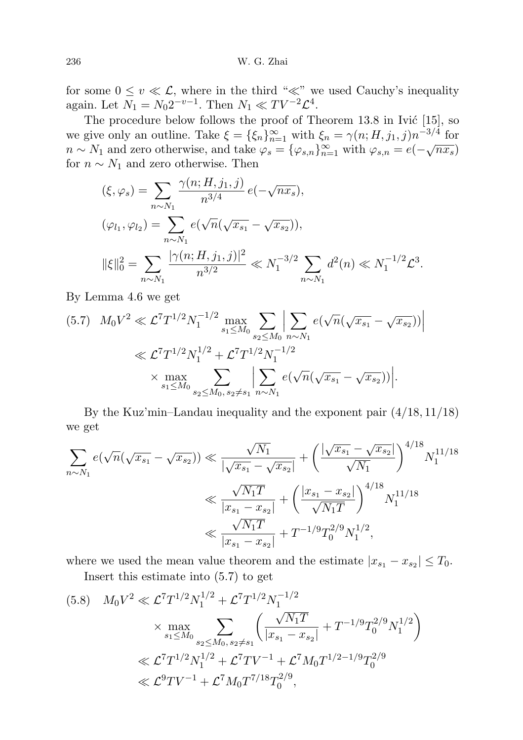for some  $0 \le v \ll \mathcal{L}$ , where in the third " $\ll$ " we used Cauchy's inequality again. Let  $N_1 = N_0 2^{-v-1}$ . Then  $N_1 \ll TV^{-2} \mathcal{L}^4$ .

The procedure below follows the proof of Theorem  $13.8$  in Ivić  $[15]$ , so we give only an outline. Take  $\xi = {\xi_n}_{n=1}^{\infty}$  with  $\xi_n = \gamma(n; H, j_1, j) n^{-3/4}$  for  $n \sim N_1$  and zero otherwise, and take  $\varphi_s = {\varphi_{s,n}}_{n=1}^{\infty}$  with  $\varphi_{s,n} = e(-\sqrt{nx_s})$ for  $n \sim N_1$  and zero otherwise. Then

$$
\begin{aligned}\n(\xi, \varphi_s) &= \sum_{n \sim N_1} \frac{\gamma(n; H, j_1, j)}{n^{3/4}} \, e\left(-\sqrt{nx_s}\right), \\
(\varphi_{l_1}, \varphi_{l_2}) &= \sum_{n \sim N_1} e\left(\sqrt{n}(\sqrt{x_{s_1}} - \sqrt{x_{s_2}})\right), \\
\|\xi\|_0^2 &= \sum_{n \sim N_1} \frac{|\gamma(n; H, j_1, j)|^2}{n^{3/2}} \ll N_1^{-3/2} \sum_{n \sim N_1} d^2(n) \ll N_1^{-1/2} \mathcal{L}^3.\n\end{aligned}
$$

By Lemma 4.6 we get

$$
(5.7) \quad M_0 V^2 \ll \mathcal{L}^7 T^{1/2} N_1^{-1/2} \max_{s_1 \le M_0} \sum_{s_2 \le M_0} \left| \sum_{n \sim N_1} e(\sqrt{n} (\sqrt{x_{s_1}} - \sqrt{x_{s_2}})) \right|
$$
  

$$
\ll \mathcal{L}^7 T^{1/2} N_1^{1/2} + \mathcal{L}^7 T^{1/2} N_1^{-1/2}
$$
  

$$
\times \max_{s_1 \le M_0} \sum_{s_2 \le M_0, s_2 \ne s_1} \left| \sum_{n \sim N_1} e(\sqrt{n} (\sqrt{x_{s_1}} - \sqrt{x_{s_2}})) \right|.
$$

By the Kuz'min–Landau inequality and the exponent pair (4/18, 11/18) we get

$$
\sum_{n \sim N_1} e(\sqrt{n}(\sqrt{x_{s_1}} - \sqrt{x_{s_2}})) \ll \frac{\sqrt{N_1}}{|\sqrt{x_{s_1}} - \sqrt{x_{s_2}}|} + \left(\frac{|\sqrt{x_{s_1}} - \sqrt{x_{s_2}}|}{\sqrt{N_1}}\right)^{4/18} N_1^{11/18}
$$

$$
\ll \frac{\sqrt{N_1T}}{|x_{s_1} - x_{s_2}|} + \left(\frac{|x_{s_1} - x_{s_2}|}{\sqrt{N_1T}}\right)^{4/18} N_1^{11/18}
$$

$$
\ll \frac{\sqrt{N_1T}}{|x_{s_1} - x_{s_2}|} + T^{-1/9} T_0^{2/9} N_1^{1/2},
$$

where we used the mean value theorem and the estimate  $|x_{s_1} - x_{s_2}| \leq T_0$ . Insert this estimate into (5.7) to get

$$
(5.8) \quad M_0 V^2 \ll \mathcal{L}^7 T^{1/2} N_1^{1/2} + \mathcal{L}^7 T^{1/2} N_1^{-1/2}
$$
\n
$$
\times \max_{s_1 \le M_0} \sum_{s_2 \le M_0, s_2 \ne s_1} \left( \frac{\sqrt{N_1 T}}{|x_{s_1} - x_{s_2}|} + T^{-1/9} T_0^{2/9} N_1^{1/2} \right)
$$
\n
$$
\ll \mathcal{L}^7 T^{1/2} N_1^{1/2} + \mathcal{L}^7 T V^{-1} + \mathcal{L}^7 M_0 T^{1/2 - 1/9} T_0^{2/9}
$$
\n
$$
\ll \mathcal{L}^9 T V^{-1} + \mathcal{L}^7 M_0 T^{7/18} T_0^{2/9},
$$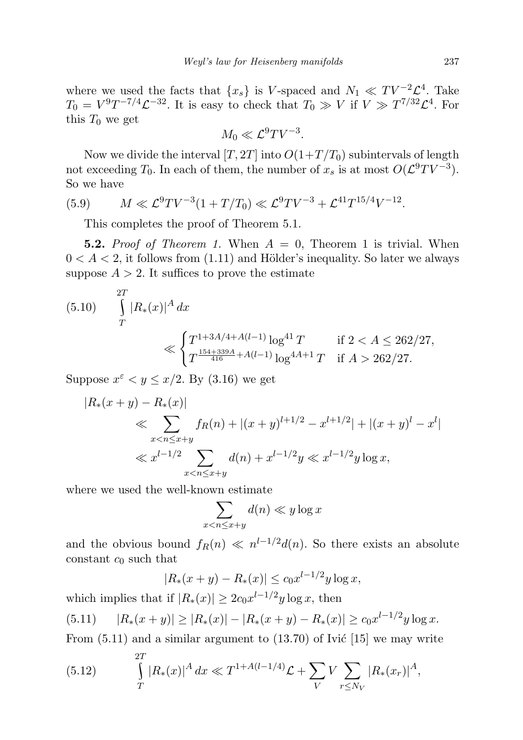where we used the facts that  $\{x_s\}$  is V-spaced and  $N_1 \ll TV^{-2} \mathcal{L}^4$ . Take  $T_0 = V^9 T^{-7/4} \mathcal{L}^{-32}$ . It is easy to check that  $T_0 \gg V$  if  $V \gg T^{7/32} \mathcal{L}^4$ . For this  $T_0$  we get

$$
M_0 \ll \mathcal{L}^9 T V^{-3}.
$$

Now we divide the interval  $[T, 2T]$  into  $O(1+T/T_0)$  subintervals of length not exceeding  $T_0$ . In each of them, the number of  $x_s$  is at most  $O(\mathcal{L}^9TV^{-3})$ . So we have

(5.9) 
$$
M \ll \mathcal{L}^9 T V^{-3} (1 + T/T_0) \ll \mathcal{L}^9 T V^{-3} + \mathcal{L}^{41} T^{15/4} V^{-12}.
$$

This completes the proof of Theorem 5.1.

**5.2.** Proof of Theorem 1. When  $A = 0$ , Theorem 1 is trivial. When  $0 < A < 2$ , it follows from  $(1.11)$  and Hölder's inequality. So later we always suppose  $A > 2$ . It suffices to prove the estimate

(5.10) 
$$
\int_{T}^{2T} |R_*(x)|^A dx
$$
  
\n
$$
\ll \begin{cases} T^{1+3A/4+A(l-1)} \log^{41} T & \text{if } 2 < A \le 262/27, \\ T^{\frac{154+339A}{416}+A(l-1)} \log^{4A+1} T & \text{if } A > 262/27. \end{cases}
$$

Suppose  $x^{\varepsilon} < y \leq x/2$ . By (3.16) we get

$$
|R_*(x+y) - R_*(x)|
$$
  
\n
$$
\ll \sum_{x < n \le x+y} f_R(n) + |(x+y)^{l+1/2} - x^{l+1/2}| + |(x+y)^l - x^l|
$$
  
\n
$$
\ll x^{l-1/2} \sum_{x < n \le x+y} d(n) + x^{l-1/2}y \ll x^{l-1/2}y \log x,
$$

where we used the well-known estimate

$$
\sum_{x < n \le x+y} d(n) \ll y \log x
$$

and the obvious bound  $f_R(n) \ll n^{l-1/2}d(n)$ . So there exists an absolute constant  $c_0$  such that

$$
|R_*(x+y) - R_*(x)| \le c_0 x^{l-1/2} y \log x,
$$

which implies that if  $|R_*(x)| \geq 2c_0x^{l-1/2}y \log x$ , then

$$
(5.11) \qquad |R_*(x+y)| \ge |R_*(x)| - |R_*(x+y) - R_*(x)| \ge c_0 x^{l-1/2} y \log x.
$$

From  $(5.11)$  and a similar argument to  $(13.70)$  of Ivic [15] we may write

(5.12) 
$$
\int_{T}^{2T} |R_*(x)|^A dx \ll T^{1+A(l-1/4)} \mathcal{L} + \sum_{V} V \sum_{r \le N_V} |R_*(x_r)|^A,
$$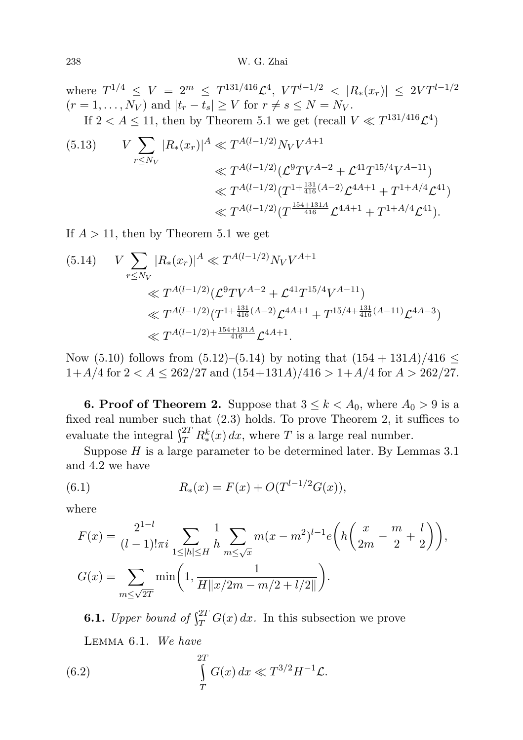where  $T^{1/4} \leq V = 2^m \leq T^{131/416}\mathcal{L}^4$ ,  $VT^{l-1/2} \leq |R_*(x_r)| \leq 2VT^{l-1/2}$  $(r = 1, \ldots, N_V)$  and  $|t_r - t_s| \geq V$  for  $r \neq s \leq N = N_V$ . If  $2 < A \leq 11$ , then by Theorem 5.1 we get (recall  $V \ll T^{131/416} \mathcal{L}^4$ )

(5.13) 
$$
V \sum_{r \le N_V} |R_*(x_r)|^A \ll T^{A(l-1/2)} N_V V^{A+1}
$$

$$
\ll T^{A(l-1/2)} (\mathcal{L}^9 T V^{A-2} + \mathcal{L}^{41} T^{15/4} V^{A-11})
$$

$$
\ll T^{A(l-1/2)} (T^{1 + \frac{131}{416}(A-2)} \mathcal{L}^{4A+1} + T^{1 + A/4} \mathcal{L}^{41})
$$

$$
\ll T^{A(l-1/2)} (T^{\frac{154+131A}{416}} \mathcal{L}^{4A+1} + T^{1 + A/4} \mathcal{L}^{41}).
$$

If  $A > 11$ , then by Theorem 5.1 we get

$$
(5.14) \quad V \sum_{r \le N_V} |R_*(x_r)|^A \ll T^{A(l-1/2)} N_V V^{A+1}
$$
  
\n
$$
\ll T^{A(l-1/2)} (\mathcal{L}^9 T V^{A-2} + \mathcal{L}^{41} T^{15/4} V^{A-11})
$$
  
\n
$$
\ll T^{A(l-1/2)} (T^{1 + \frac{131}{416}(A-2)} \mathcal{L}^{4A+1} + T^{15/4 + \frac{131}{416}(A-11)} \mathcal{L}^{4A-3})
$$
  
\n
$$
\ll T^{A(l-1/2) + \frac{154+131A}{416}} \mathcal{L}^{4A+1}.
$$

Now (5.10) follows from (5.12)–(5.14) by noting that  $(154 + 131A)/416 \le$  $1+A/4$  for  $2 < A \leq 262/27$  and  $(154+131A)/416 > 1+A/4$  for  $A > 262/27$ .

**6. Proof of Theorem 2.** Suppose that  $3 \leq k < A_0$ , where  $A_0 > 9$  is a fixed real number such that (2.3) holds. To prove Theorem 2, it suffices to evaluate the integral  $\int_T^{2T} R_*^k(x) dx$ , where T is a large real number.

Suppose  $H$  is a large parameter to be determined later. By Lemmas 3.1 and 4.2 we have

(6.1) 
$$
R_*(x) = F(x) + O(T^{l-1/2}G(x)),
$$

where

$$
F(x) = \frac{2^{1-l}}{(l-1)!\pi i} \sum_{1 \le |h| \le H} \frac{1}{h} \sum_{m \le \sqrt{x}} m(x-m^2)^{l-1} e\left(h\left(\frac{x}{2m} - \frac{m}{2} + \frac{l}{2}\right)\right),
$$
  

$$
G(x) = \sum_{m \le \sqrt{2T}} \min\left(1, \frac{1}{H\|x/2m - m/2 + l/2\|}\right).
$$

**6.1.** Upper bound of  $\int_{T}^{2T} G(x) dx$ . In this subsection we prove Lemma 6.1. We have

(6.2) 
$$
\int_{T}^{2T} G(x) dx \ll T^{3/2} H^{-1} \mathcal{L}.
$$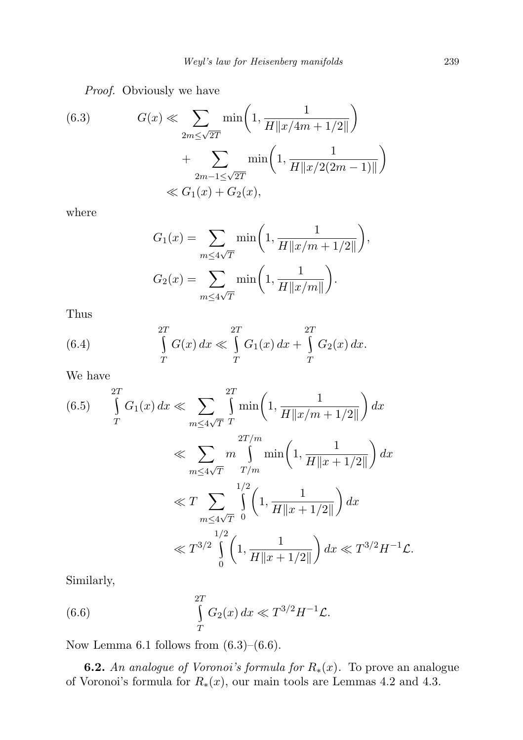Proof. Obviously we have

(6.3) 
$$
G(x) \ll \sum_{2m \leq \sqrt{2T}} \min\left(1, \frac{1}{H||x/4m + 1/2||}\right) + \sum_{2m-1 \leq \sqrt{2T}} \min\left(1, \frac{1}{H||x/2(2m-1)||}\right) \ll G_1(x) + G_2(x),
$$

where

$$
G_1(x) = \sum_{m \le 4\sqrt{T}} \min\left(1, \frac{1}{H||x/m + 1/2||}\right),
$$
  

$$
G_2(x) = \sum_{m \le 4\sqrt{T}} \min\left(1, \frac{1}{H||x/m||}\right).
$$

Thus

(6.4) 
$$
\int_{T}^{2T} G(x) dx \ll \int_{T}^{2T} G_1(x) dx + \int_{T}^{2T} G_2(x) dx.
$$

We have

$$
(6.5) \int_{T}^{2T} G_{1}(x) dx \ll \sum_{m \leq 4\sqrt{T}} \int_{T}^{2T} \min\left(1, \frac{1}{H||x/m + 1/2||}\right) dx
$$
  

$$
\ll \sum_{m \leq 4\sqrt{T}} m \int_{T/m}^{2T/m} \min\left(1, \frac{1}{H||x + 1/2||}\right) dx
$$
  

$$
\ll T \sum_{m \leq 4\sqrt{T}} \int_{0}^{1/2} \left(1, \frac{1}{H||x + 1/2||}\right) dx
$$
  

$$
\ll T^{3/2} \int_{0}^{1/2} \left(1, \frac{1}{H||x + 1/2||}\right) dx \ll T^{3/2} H^{-1} \mathcal{L}.
$$

Similarly,

(6.6) 
$$
\int_{T}^{2T} G_2(x) dx \ll T^{3/2} H^{-1} \mathcal{L}.
$$

Now Lemma 6.1 follows from  $(6.3)$ – $(6.6)$ .

**6.2.** An analogue of Voronoi's formula for  $R_*(x)$ . To prove an analogue of Voronoi's formula for  $R_*(x)$ , our main tools are Lemmas 4.2 and 4.3.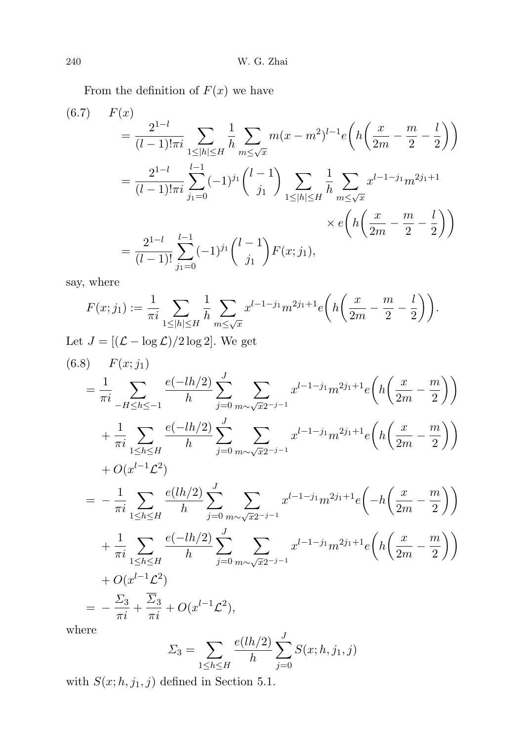From the definition of  $F(x)$  we have

$$
(6.7) \quad F(x) = \frac{2^{1-l}}{(l-1)!\pi i} \sum_{1 \le |h| \le H} \frac{1}{h} \sum_{m \le \sqrt{x}} m(x-m^2)^{l-1} e\left(h\left(\frac{x}{2m} - \frac{m}{2} - \frac{l}{2}\right)\right)
$$

$$
= \frac{2^{1-l}}{(l-1)!\pi i} \sum_{j_1=0}^{l-1} (-1)^{j_1} {l-1 \choose j_1} \sum_{1 \le |h| \le H} \frac{1}{h} \sum_{m \le \sqrt{x}} x^{l-1-j_1} m^{2j_1+1}
$$

$$
\times e\left(h\left(\frac{x}{2m} - \frac{m}{2} - \frac{l}{2}\right)\right)
$$

$$
= \frac{2^{1-l}}{(l-1)!} \sum_{j_1=0}^{l-1} (-1)^{j_1} {l-1 \choose j_1} F(x;j_1),
$$

say, where

$$
F(x;j_1) := \frac{1}{\pi i} \sum_{1 \le |h| \le H} \frac{1}{h} \sum_{m \le \sqrt{x}} x^{l-1-j_1} m^{2j_1+1} e\left(h\left(\frac{x}{2m} - \frac{m}{2} - \frac{l}{2}\right)\right).
$$
  
Let  $J = [(\mathcal{L} - \log \mathcal{L})/2 \log 2]$ . We get

$$
(6.8) \quad F(x; j_1)
$$
\n
$$
= \frac{1}{\pi i} \sum_{-H \le h \le -1} \frac{e(-lh/2)}{h} \sum_{j=0}^{J} \sum_{m \sim \sqrt{x}2^{-j-1}} x^{l-1-j} m^{2j+1} e\left(h\left(\frac{x}{2m} - \frac{m}{2}\right)\right)
$$
\n
$$
+ \frac{1}{\pi i} \sum_{1 \le h \le H} \frac{e(-lh/2)}{h} \sum_{j=0}^{J} \sum_{m \sim \sqrt{x}2^{-j-1}} x^{l-1-j} m^{2j+1} e\left(h\left(\frac{x}{2m} - \frac{m}{2}\right)\right)
$$
\n
$$
+ O(x^{l-1} \mathcal{L}^2)
$$
\n
$$
= -\frac{1}{\pi i} \sum_{1 \le h \le H} \frac{e(lh/2)}{h} \sum_{j=0}^{J} \sum_{m \sim \sqrt{x}2^{-j-1}} x^{l-1-j} m^{2j+1} e\left(-h\left(\frac{x}{2m} - \frac{m}{2}\right)\right)
$$
\n
$$
+ \frac{1}{\pi i} \sum_{1 \le h \le H} \frac{e(-lh/2)}{h} \sum_{j=0}^{J} \sum_{m \sim \sqrt{x}2^{-j-1}} x^{l-1-j} m^{2j+1} e\left(h\left(\frac{x}{2m} - \frac{m}{2}\right)\right)
$$
\n
$$
+ O(x^{l-1} \mathcal{L}^2)
$$
\n
$$
= -\frac{\Sigma_3}{\pi i} + \frac{\overline{\Sigma}_3}{\pi i} + O(x^{l-1} \mathcal{L}^2),
$$
\nwhere

where

$$
\Sigma_3 = \sum_{1 \le h \le H} \frac{e(lh/2)}{h} \sum_{j=0}^{J} S(x; h, j_1, j)
$$

with  $S(x; h, j_1, j)$  defined in Section 5.1.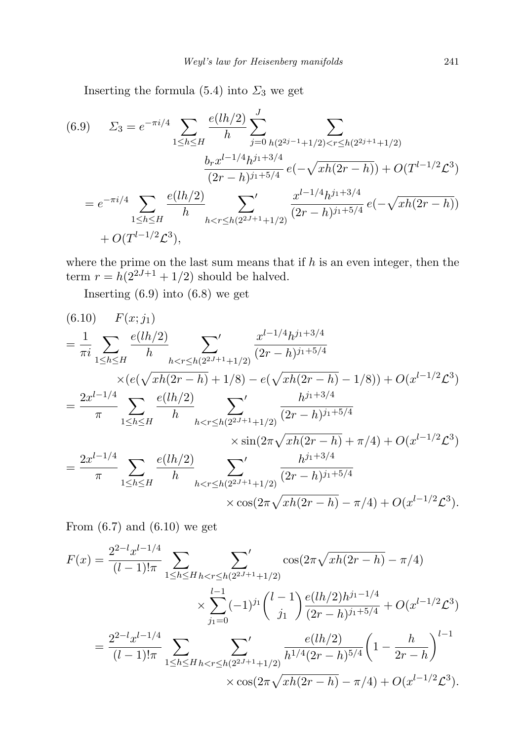Inserting the formula  $(5.4)$  into  $\Sigma_3$  we get

$$
(6.9) \qquad \Sigma_3 = e^{-\pi i/4} \sum_{1 \le h \le H} \frac{e(lh/2)}{h} \sum_{j=0}^J \sum_{h(2^{2j-1}+1/2) < r \le h(2^{2j+1}+1/2)} \sum_{\substack{(2r-h)^{j_1+3/4} \\ (2r-h)^{j_1+5/4}}} \sum_{e(-\sqrt{xh(2r-h)})} \frac{b_r x^{l-1/4} h^{j_1+3/4}}{(2r-h)^{j_1+5/4}} e(-\sqrt{xh(2r-h)}) + O(T^{l-1/2} \mathcal{L}^3) + O(T^{l-1/2} \mathcal{L}^3),
$$

where the prime on the last sum means that if  $h$  is an even integer, then the term  $r = h(2^{2J+1} + 1/2)$  should be halved.

Inserting (6.9) into (6.8) we get

$$
(6.10) \quad F(x;j_1)
$$
\n
$$
= \frac{1}{\pi i} \sum_{1 \le h \le H} \frac{e(lh/2)}{h} \sum_{h < r \le h(2^{2J+1}+1/2)} \frac{x^{l-1/4}h^{j_1+3/4}}{(2r-h)^{j_1+5/4}}
$$
\n
$$
\times (e(\sqrt{xh(2r-h)}+1/8) - e(\sqrt{xh(2r-h)}-1/8)) + O(x^{l-1/2}\mathcal{L}^3)
$$
\n
$$
= \frac{2x^{l-1/4}}{\pi} \sum_{1 \le h \le H} \frac{e(lh/2)}{h} \sum_{h < r \le h(2^{2J+1}+1/2)} \frac{h^{j_1+3/4}}{(2r-h)^{j_1+5/4}}
$$
\n
$$
\times \sin(2\pi\sqrt{xh(2r-h)} + \pi/4) + O(x^{l-1/2}\mathcal{L}^3)
$$
\n
$$
= \frac{2x^{l-1/4}}{\pi} \sum_{1 \le h \le H} \frac{e(lh/2)}{h} \sum_{h < r \le h(2^{2J+1}+1/2)} \frac{h^{j_1+3/4}}{(2r-h)^{j_1+5/4}}
$$
\n
$$
\times \cos(2\pi\sqrt{xh(2r-h)} - \pi/4) + O(x^{l-1/2}\mathcal{L}^3).
$$

From  $(6.7)$  and  $(6.10)$  we get

$$
F(x) = \frac{2^{2-l}x^{l-1/4}}{(l-1)!\pi} \sum_{1 \le h \le H} \sum_{h < r \le h(2^{2J+1}+1/2)} \cos(2\pi\sqrt{xh(2r-h)} - \pi/4)
$$
  

$$
\times \sum_{j_1=0}^{l-1} (-1)^{j_1} {l-1 \choose j_1} \frac{e(lh/2)h^{j_1-1/4}}{(2r-h)^{j_1+5/4}} + O(x^{l-1/2}\mathcal{L}^3)
$$
  

$$
= \frac{2^{2-l}x^{l-1/4}}{(l-1)!\pi} \sum_{1 \le h \le H} \sum_{h < r \le h(2^{2J+1}+1/2)} \frac{e(lh/2)}{h^{1/4}(2r-h)^{5/4}} \left(1 - \frac{h}{2r-h}\right)^{l-1}
$$
  

$$
\times \cos(2\pi\sqrt{xh(2r-h)} - \pi/4) + O(x^{l-1/2}\mathcal{L}^3).
$$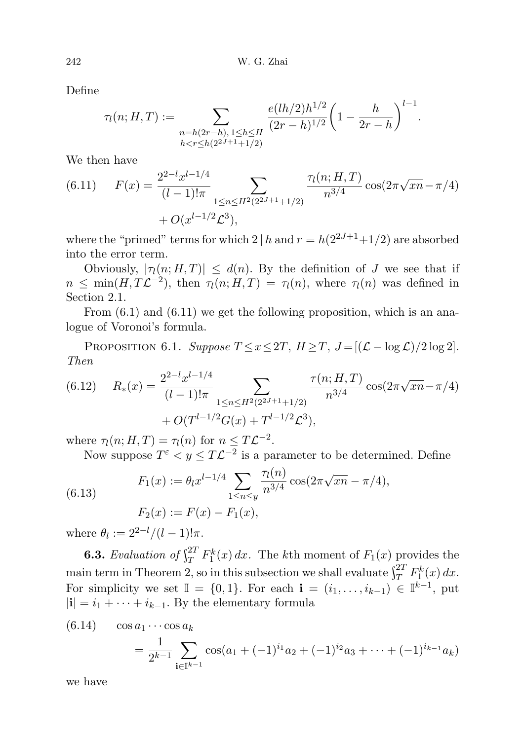Define

$$
\tau_l(n;H,T):=\sum_{\substack{n=h(2r-h),1\leq h\leq H\\ h
$$

We then have

(6.11) 
$$
F(x) = \frac{2^{2-l} x^{l-1/4}}{(l-1)! \pi} \sum_{1 \le n \le H^2(2^{2J+1}+1/2)} \frac{\tau_l(n; H, T)}{n^{3/4}} \cos(2\pi \sqrt{x n} - \pi/4) + O(x^{l-1/2} \mathcal{L}^3),
$$

where the "primed" terms for which  $2 | h$  and  $r = h(2^{2J+1}+1/2)$  are absorbed into the error term.

Obviously,  $|\tau_1(n; H, T)| \leq d(n)$ . By the definition of J we see that if  $n \leq \min(H, T\mathcal{L}^{-2}),$  then  $\tau_l(n; H, T) = \tau_l(n),$  where  $\tau_l(n)$  was defined in Section 2.1.

From  $(6.1)$  and  $(6.11)$  we get the following proposition, which is an analogue of Voronoi's formula.

PROPOSITION 6.1. Suppose  $T \le x \le 2T$ ,  $H \ge T$ ,  $J = [(\mathcal{L} - \log \mathcal{L})/2 \log 2]$ . Then

(6.12) 
$$
R_*(x) = \frac{2^{2-l} x^{l-1/4}}{(l-1)!\pi} \sum_{1 \le n \le H^2(2^{2J+1}+1/2)} \frac{\tau(n; H, T)}{n^{3/4}} \cos(2\pi \sqrt{x n} - \pi/4) + O(T^{l-1/2} G(x) + T^{l-1/2} \mathcal{L}^3),
$$

where  $\tau_l(n; H, T) = \tau_l(n)$  for  $n \leq T\mathcal{L}^{-2}$ .

Now suppose  $T^{\varepsilon} < y \leq T\mathcal{L}^{-2}$  is a parameter to be determined. Define

(6.13) 
$$
F_1(x) := \theta_l x^{l-1/4} \sum_{1 \le n \le y} \frac{\tau_l(n)}{n^{3/4}} \cos(2\pi \sqrt{xn} - \pi/4),
$$

$$
F_2(x) := F(x) - F_1(x),
$$

where  $\theta_l := 2^{2-l}/(l-1)!\pi$ .

**6.3.** Evaluation of  $\int_T^{2T} F_1^k(x) dx$ . The kth moment of  $F_1(x)$  provides the main term in Theorem 2, so in this subsection we shall evaluate  $\int_T^{2T} F_1^k(x) dx$ . For simplicity we set  $\mathbb{I} = \{0,1\}$ . For each  $\mathbf{i} = (i_1, \ldots, i_{k-1}) \in \mathbb{I}^{k-1}$ , put  $|i| = i_1 + \cdots + i_{k-1}$ . By the elementary formula

(6.14) 
$$
\cos a_1 \cdots \cos a_k = \frac{1}{2^{k-1}} \sum_{\mathbf{i} \in \mathbb{I}^{k-1}} \cos(a_1 + (-1)^{i_1} a_2 + (-1)^{i_2} a_3 + \cdots + (-1)^{i_{k-1}} a_k)
$$

we have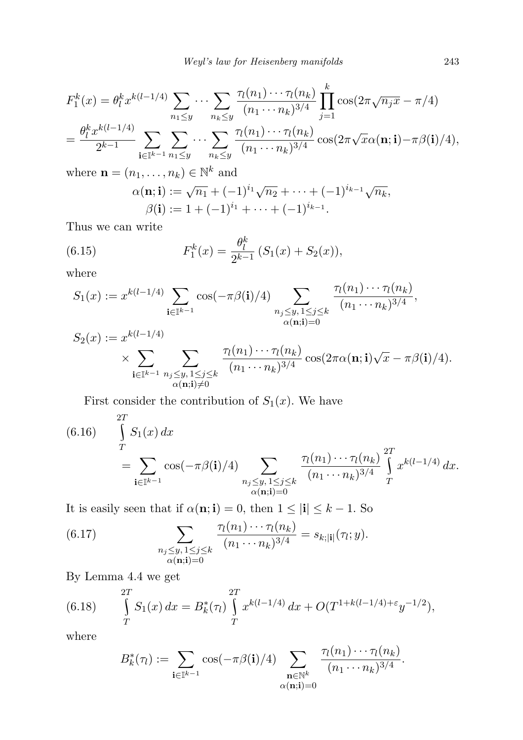$$
F_1^k(x) = \theta_l^k x^{k(l-1/4)} \sum_{n_1 \le y} \cdots \sum_{n_k \le y} \frac{\tau_l(n_1) \cdots \tau_l(n_k)}{(n_1 \cdots n_k)^{3/4}} \prod_{j=1}^k \cos(2\pi \sqrt{n_j x} - \pi/4)
$$
  
=  $\frac{\theta_l^k x^{k(l-1/4)}}{2^{k-1}} \sum_{\mathbf{i} \in \mathbb{I}^{k-1}} \sum_{n_1 \le y} \cdots \sum_{n_k \le y} \frac{\tau_l(n_1) \cdots \tau_l(n_k)}{(n_1 \cdots n_k)^{3/4}} \cos(2\pi \sqrt{x} \alpha(\mathbf{n}; \mathbf{i}) - \pi \beta(\mathbf{i})/4),$ 

where  $\mathbf{n} = (n_1, \dots, n_k) \in \mathbb{N}^k$  and  $\alpha(\mathbf{n}; \mathbf{i}) := \sqrt{n_1} + (-1)^{i_1} \sqrt{n_2} + \cdots + (-1)^{i_{k-1}} \sqrt{n_k},$ 

$$
\beta(\mathbf{i}) := 1 + (-1)^{i_1} + \dots + (-1)^{i_{k-1}}.
$$
  
\n
$$
\beta(\mathbf{i}) := 1 + (-1)^{i_1} + \dots + (-1)^{i_{k-1}}.
$$

Thus we can write

(6.15) 
$$
F_1^k(x) = \frac{\theta_l^k}{2^{k-1}} \left( S_1(x) + S_2(x) \right),
$$

where

$$
S_1(x) := x^{k(l-1/4)} \sum_{\mathbf{i} \in \mathbb{I}^{k-1}} \cos(-\pi \beta(\mathbf{i})/4) \sum_{\substack{n_j \le y, \ 1 \le j \le k \\ \alpha(\mathbf{n}; \mathbf{i}) = 0}} \frac{\tau_l(n_1) \cdots \tau_l(n_k)}{(n_1 \cdots n_k)^{3/4}},
$$

$$
S_2(x) := x^{k(l-1/4)} \times \sum_{\substack{\mathbf{i} \in \mathbb{I}^{k-1} \\ \alpha(\mathbf{n}; \mathbf{i}) \neq 0}} \sum_{\substack{n_j \leq y, 1 \leq j \leq k \\ \alpha(\mathbf{n}; \mathbf{i}) \neq 0}} \frac{\tau_l(n_1) \cdots \tau_l(n_k)}{(n_1 \cdots n_k)^{3/4}} \cos(2\pi \alpha(\mathbf{n}; \mathbf{i}) \sqrt{x} - \pi \beta(\mathbf{i})/4).
$$

First consider the contribution of  $S_1(x)$ . We have

(6.16) 
$$
\int_{T}^{2T} S_1(x) dx = \sum_{\mathbf{i} \in \mathbb{I}^{k-1}} \cos(-\pi \beta(\mathbf{i})/4) \sum_{\substack{n_j \leq y, 1 \leq j \leq k \\ \alpha(\mathbf{n}; \mathbf{i}) = 0}} \frac{\tau_1(n_1) \cdots \tau_l(n_k)}{(n_1 \cdots n_k)^{3/4}} \int_{T}^{2T} x^{k(l-1/4)} dx.
$$

It is easily seen that if  $\alpha(\mathbf{n}; \mathbf{i}) = 0$ , then  $1 \leq |\mathbf{i}| \leq k - 1$ . So

(6.17) 
$$
\sum_{\substack{n_j \leq y, 1 \leq j \leq k \\ \alpha(n; \mathbf{i}) = 0}} \frac{\tau_l(n_1) \cdots \tau_l(n_k)}{(n_1 \cdots n_k)^{3/4}} = s_{k;|\mathbf{i}|}(\tau_i; y).
$$

By Lemma 4.4 we get

(6.18) 
$$
\int_{T}^{2T} S_1(x) dx = B_k^*(\tau_l) \int_{T}^{2T} x^{k(l-1/4)} dx + O(T^{1+k(l-1/4)+\varepsilon} y^{-1/2}),
$$

where

$$
B_k^*(\tau_l) := \sum_{\mathbf{i} \in \mathbb{I}^{k-1}} \cos(-\pi \beta(\mathbf{i})/4) \sum_{\substack{\mathbf{n} \in \mathbb{N}^k \\ \alpha(\mathbf{n}; \mathbf{i}) = 0}} \frac{\tau_l(n_1) \cdots \tau_l(n_k)}{(n_1 \cdots n_k)^{3/4}}.
$$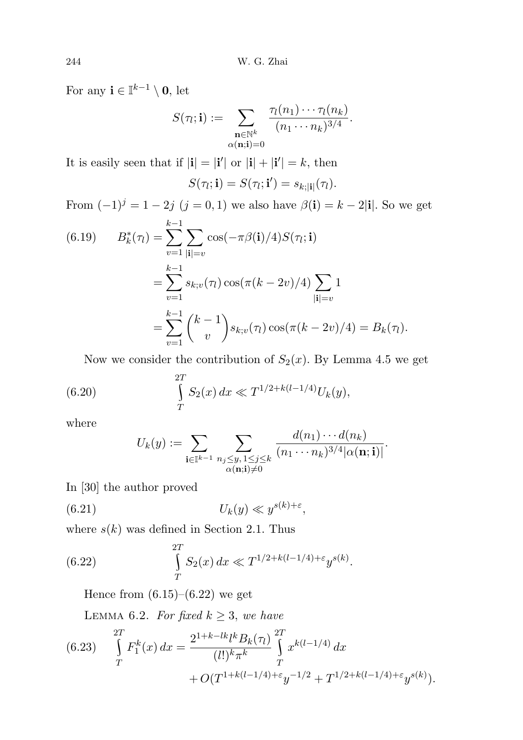For any  $\mathbf{i} \in \mathbb{I}^{k-1} \setminus \mathbf{0}$ , let

$$
S(\tau_l; \mathbf{i}) := \sum_{\substack{\mathbf{n} \in \mathbb{N}^k \\ \alpha(\mathbf{n}; \mathbf{i}) = 0}} \frac{\tau_l(n_1) \cdots \tau_l(n_k)}{(n_1 \cdots n_k)^{3/4}}.
$$

It is easily seen that if  $|\mathbf{i}| = |\mathbf{i}'|$  or  $|\mathbf{i}| + |\mathbf{i}'| = k$ , then

$$
S(\tau_l; \mathbf{i}) = S(\tau_l; \mathbf{i}') = s_{k; |\mathbf{i}|}(\tau_l).
$$

From  $(-1)^{j} = 1 - 2j$   $(j = 0, 1)$  we also have  $\beta(i) = k - 2|i|$ . So we get

(6.19) 
$$
B_k^*(\tau_l) = \sum_{v=1}^{k-1} \sum_{|\mathbf{i}|=v} \cos(-\pi \beta(\mathbf{i})/4) S(\tau_l; \mathbf{i})
$$

$$
= \sum_{v=1}^{k-1} s_{k;v}(\tau_l) \cos(\pi (k-2v)/4) \sum_{|\mathbf{i}|=v} 1
$$

$$
= \sum_{v=1}^{k-1} {k-1 \choose v} s_{k;v}(\tau_l) \cos(\pi (k-2v)/4) = B_k(\tau_l).
$$

Now we consider the contribution of  $S_2(x)$ . By Lemma 4.5 we get

(6.20) 
$$
\int_{T}^{2T} S_2(x) dx \ll T^{1/2 + k(l-1/4)} U_k(y),
$$

where

$$
U_k(y) := \sum_{\mathbf{i} \in \mathbb{I}^{k-1}} \sum_{\substack{n_j \leq y, \, 1 \leq j \leq k \\ \alpha(\mathbf{n}; \mathbf{i}) \neq 0}} \frac{d(n_1) \cdots d(n_k)}{(n_1 \cdots n_k)^{3/4} |\alpha(\mathbf{n}; \mathbf{i})|}.
$$

In [30] the author proved

$$
(6.21) \t\t\t U_k(y) \ll y^{s(k)+\varepsilon},
$$

where  $s(k)$  was defined in Section 2.1. Thus

(6.22) 
$$
\int_{T}^{2T} S_2(x) dx \ll T^{1/2 + k(l-1/4) + \varepsilon} y^{s(k)}.
$$

Hence from  $(6.15)$ – $(6.22)$  we get

LEMMA 6.2. For fixed  $k \geq 3$ , we have

(6.23) 
$$
\int_{T}^{2T} F_{1}^{k}(x) dx = \frac{2^{1+k-lk} l^{k} B_{k}(\tau_{l})}{(l!)^{k} \pi^{k}} \int_{T}^{2T} x^{k(l-1/4)} dx + O(T^{1+k(l-1/4)+\varepsilon} y^{-1/2} + T^{1/2+k(l-1/4)+\varepsilon} y^{s(k)}).
$$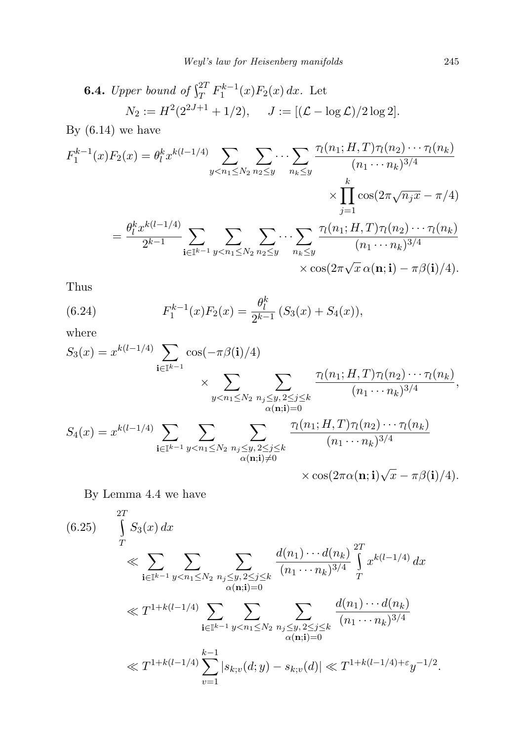**6.4.** Upper bound of 
$$
\int_{T}^{2T} F_{1}^{k-1}(x) F_{2}(x) dx
$$
. Let  
\n $N_2 := H^2(2^{2J+1} + 1/2), \quad J := [(\mathcal{L} - \log \mathcal{L})/2 \log 2].$ 

By  $(6.14)$  we have

$$
F_1^{k-1}(x)F_2(x) = \theta_l^k x^{k(l-1/4)} \sum_{y < n_1 \le N_2} \sum_{n_2 \le y} \cdots \sum_{n_k \le y} \frac{\tau_l(n_1; H, T)\tau_l(n_2) \cdots \tau_l(n_k)}{(n_1 \cdots n_k)^{3/4}} \times \prod_{j=1}^k \cos(2\pi \sqrt{n_j x} - \pi/4)
$$
\n
$$
= \frac{\theta_l^k x^{k(l-1/4)}}{2^{k-1}} \sum_{\mathbf{i} \in \mathbb{I}^{k-1}} \sum_{y < n_1 \le N_2} \sum_{n_2 \le y} \cdots \sum_{n_k \le y} \frac{\tau_l(n_1; H, T)\tau_l(n_2) \cdots \tau_l(n_k)}{(n_1 \cdots n_k)^{3/4}} \times \cos(2\pi \sqrt{x} \alpha(\mathbf{n}; \mathbf{i}) - \pi \beta(\mathbf{i})/4).
$$

Thus

(6.24) 
$$
F_1^{k-1}(x)F_2(x) = \frac{\theta_l^k}{2^{k-1}} (S_3(x) + S_4(x)),
$$

where

$$
S_3(x) = x^{k(l-1/4)} \sum_{\mathbf{i} \in \mathbb{I}^{k-1}} \cos(-\pi \beta(\mathbf{i})/4)
$$
  
\$\times \sum\_{y < n\_1 \le N\_2} \sum\_{\substack{n\_j \le y, 2 \le j \le k \\ \alpha(\mathbf{n}; \mathbf{i}) = 0}} \frac{\tau\_l(n\_1; H, T)\tau\_l(n\_2) \cdots \tau\_l(n\_k)}{(n\_1 \cdots n\_k)^{3/4}},\newline S\_4(x) = x^{k(l-1/4)} \sum\_{\mathbf{i} \in \mathbb{I}^{k-1}} \sum\_{\substack{y < n\_1 \le N\_2 \\ \alpha(\mathbf{n}; \mathbf{i}) \ne \mathbf{0}}} \sum\_{\substack{n\_j \le y, 2 \le j \le k \\ \alpha(\mathbf{n}; \mathbf{i}) \ne \mathbf{0}}} \frac{\tau\_l(n\_1; H, T)\tau\_l(n\_2) \cdots \tau\_l(n\_k)}{(n\_1 \cdots n\_k)^{3/4}} \times \cos(2\pi \alpha(\mathbf{n}; \mathbf{i}) \sqrt{x} - \pi \beta(\mathbf{i})/4). \newline

By Lemma 4.4 we have

$$
(6.25) \int_{T}^{2T} S_3(x) dx
$$
  
\n
$$
\leqslant \sum_{\mathbf{i} \in \mathbb{I}^{k-1}} \sum_{y < n_1 \leq N_2} \sum_{\substack{n_j \leq y, 2 \leq j \leq k \\ \alpha(\mathbf{n}; \mathbf{i}) = 0}} \frac{d(n_1) \cdots d(n_k)}{(n_1 \cdots n_k)^{3/4}} \int_{T}^{2T} x^{k(l-1/4)} dx
$$
  
\n
$$
\leqslant T^{1 + k(l-1/4)} \sum_{\mathbf{i} \in \mathbb{I}^{k-1}} \sum_{\substack{y < n_1 \leq N_2 \\ \alpha(\mathbf{n}; \mathbf{i}) = 0}} \sum_{\substack{n_j \leq y, 2 \leq j \leq k \\ \alpha(\mathbf{n}; \mathbf{i}) = 0}} \frac{d(n_1) \cdots d(n_k)}{(n_1 \cdots n_k)^{3/4}}
$$
  
\n
$$
\leqslant T^{1 + k(l-1/4)} \sum_{v=1}^{k-1} |s_{k;v}(d; y) - s_{k;v}(d)| \leqslant T^{1 + k(l-1/4) + \varepsilon} y^{-1/2}.
$$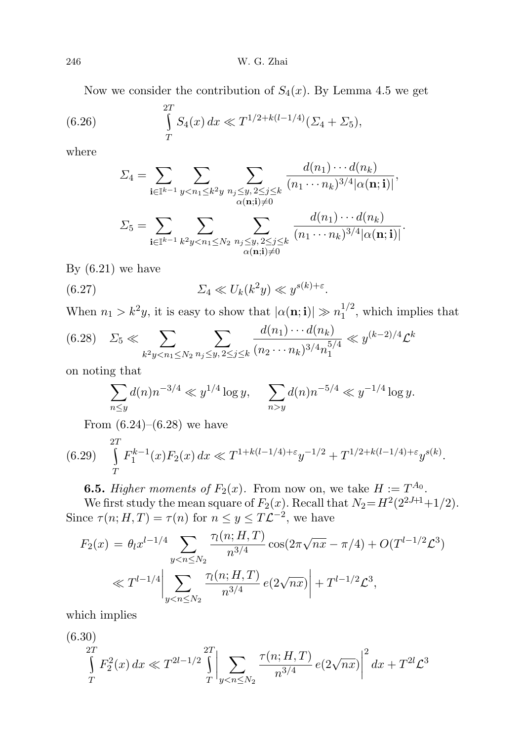Now we consider the contribution of  $S_4(x)$ . By Lemma 4.5 we get

(6.26) 
$$
\int_{T}^{2T} S_4(x) dx \ll T^{1/2 + k(l-1/4)} (\Sigma_4 + \Sigma_5),
$$

where

$$
\Sigma_4 = \sum_{\mathbf{i} \in \mathbb{I}^{k-1}} \sum_{y < n_1 \leq k^2 y} \sum_{\substack{n_j \leq y, 2 \leq j \leq k \\ \alpha(\mathbf{n}; \mathbf{i}) \neq 0}} \frac{d(n_1) \cdots d(n_k)}{(n_1 \cdots n_k)^{3/4} |\alpha(\mathbf{n}; \mathbf{i})|},
$$
\n
$$
\Sigma_5 = \sum_{\mathbf{i} \in \mathbb{I}^{k-1}} \sum_{\substack{k^2 \leq x < N_2, 2 \leq i \leq k \\ k \leq n_1 \leq x, 2 \leq i \leq k}} \frac{d(n_1) \cdots d(n_k)}{(n_1 \cdots n_k)^{3/4} |\alpha(\mathbf{n}; \mathbf{i})|}.
$$

 $n_j \leq y, 2 \leq j \leq k$  $\alpha(\mathbf{n};\mathbf{i}){\neq}0$ 

By  $(6.21)$  we have

(6.27) 
$$
\Sigma_4 \ll U_k(k^2y) \ll y^{s(k)+\varepsilon}.
$$

 $k^2y < n_1 \le N_2$ 

 $\mathrm{i} {\in} \mathbb{I}^{k-1}$ 

When  $n_1 > k^2y$ , it is easy to show that  $|\alpha(\mathbf{n}; \mathbf{i})| \gg n_1^{1/2}$  $1/2$ , which implies that

$$
(6.28) \quad \Sigma_5 \ll \sum_{k^2 y < n_1 \le N_2} \sum_{n_j \le y, \, 2 \le j \le k} \frac{d(n_1) \cdots d(n_k)}{(n_2 \cdots n_k)^{3/4} n_1^{5/4}} \ll y^{(k-2)/4} \mathcal{L}^k
$$

on noting that

$$
\sum_{n\leq y} d(n)n^{-3/4} \ll y^{1/4} \log y, \quad \sum_{n>y} d(n)n^{-5/4} \ll y^{-1/4} \log y.
$$

From  $(6.24)$ – $(6.28)$  we have

$$
(6.29) \int_{T}^{2T} F_1^{k-1}(x) F_2(x) dx \ll T^{1+k(l-1/4)+\varepsilon} y^{-1/2} + T^{1/2+k(l-1/4)+\varepsilon} y^{s(k)}.
$$

**6.5.** Higher moments of  $F_2(x)$ . From now on, we take  $H := T^{A_0}$ .

We first study the mean square of  $F_2(x)$ . Recall that  $N_2 = H^2(2^{2J+1}+1/2)$ . Since  $\tau(n; H, T) = \tau(n)$  for  $n \leq y \leq T\mathcal{L}^{-2}$ , we have

$$
F_2(x) = \theta_l x^{l-1/4} \sum_{y < n \le N_2} \frac{\tau_l(n; H, T)}{n^{3/4}} \cos(2\pi \sqrt{nx} - \pi/4) + O(T^{l-1/2} \mathcal{L}^3)
$$
\n
$$
\ll T^{l-1/4} \Big| \sum_{y < n \le N_2} \frac{\tau_l(n; H, T)}{n^{3/4}} e(2\sqrt{nx}) \Big| + T^{l-1/2} \mathcal{L}^3,
$$

which implies

$$
(6.30)
$$
  
\n $\int_{T}^{2T} F_2^2(x) dx \ll T^{2l-1/2} \int_{T}^{2T} \left| \sum_{y < n \le N_2} \frac{\tau(n; H, T)}{n^{3/4}} e(2\sqrt{nx}) \right|^2 dx + T^{2l} \mathcal{L}^3$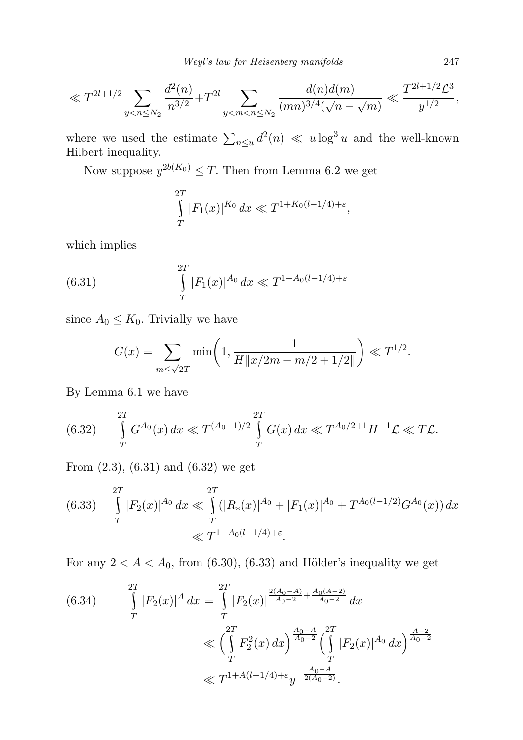$$
\ll T^{2l+1/2} \sum_{y < n \leq N_2} \frac{d^2(n)}{n^{3/2}} + T^{2l} \sum_{y < m < n \leq N_2} \frac{d(n)d(m)}{(mn)^{3/4}(\sqrt{n} - \sqrt{m})} \ll \frac{T^{2l+1/2} \mathcal{L}^3}{y^{1/2}},
$$

where we used the estimate  $\sum_{n\leq u} d^2(n) \ll u \log^3 u$  and the well-known Hilbert inequality.

Now suppose  $y^{2b(K_0)} \leq T$ . Then from Lemma 6.2 we get

$$
\int_{T}^{2T} |F_1(x)|^{K_0} dx \ll T^{1+K_0(l-1/4)+\varepsilon},
$$

which implies

(6.31) 
$$
\int_{T}^{2T} |F_1(x)|^{A_0} dx \ll T^{1+A_0(l-1/4)+\varepsilon}
$$

since  $A_0 \leq K_0$ . Trivially we have

$$
G(x) = \sum_{m \le \sqrt{2T}} \min\left(1, \frac{1}{H \|x/2m - m/2 + 1/2\|}\right) \ll T^{1/2}.
$$

By Lemma 6.1 we have

(6.32) 
$$
\int_{T}^{2T} G^{A_0}(x) dx \ll T^{(A_0-1)/2} \int_{T}^{2T} G(x) dx \ll T^{A_0/2+1} H^{-1} \mathcal{L} \ll T \mathcal{L}.
$$

From (2.3), (6.31) and (6.32) we get

(6.33) 
$$
\int_{T}^{2T} |F_2(x)|^{A_0} dx \ll \int_{T}^{2T} (|R_*(x)|^{A_0} + |F_1(x)|^{A_0} + T^{A_0(l-1/2)} G^{A_0}(x)) dx
$$

$$
\ll T^{1+A_0(l-1/4)+\varepsilon}.
$$

For any  $2 < A < A_0$ , from (6.30), (6.33) and Hölder's inequality we get

$$
(6.34) \qquad \int_{T}^{2T} |F_2(x)|^A dx = \int_{T}^{2T} |F_2(x)|^{\frac{2(A_0 - A)}{A_0 - 2} + \frac{A_0(A - 2)}{A_0 - 2}} dx
$$

$$
\ll \left(\int_{T}^{2T} F_2^2(x) dx\right)^{\frac{A_0 - A}{A_0 - 2}} \left(\int_{T}^{2T} |F_2(x)|^{A_0} dx\right)^{\frac{A - 2}{A_0 - 2}}
$$

$$
\ll T^{1 + A(l - 1/4) + \varepsilon} y^{-\frac{A_0 - A}{2(A_0 - 2)}}.
$$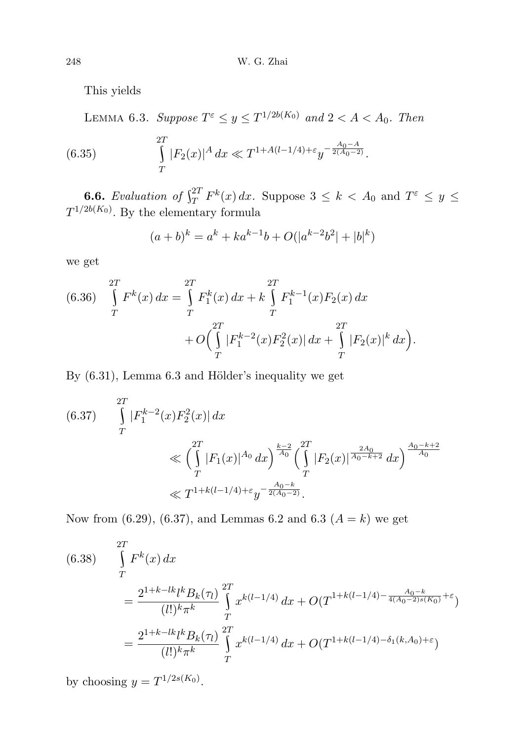This yields

LEMMA 6.3. Suppose  $T^{\varepsilon} \leq y \leq T^{1/2b(K_0)}$  and  $2 < A < A_0$ . Then

(6.35) 
$$
\int_{T}^{2T} |F_2(x)|^A dx \ll T^{1+A(l-1/4)+\varepsilon} y^{-\frac{A_0-A}{2(A_0-2)}}.
$$

**6.6.** Evaluation of  $\int_{T}^{2T} F^{k}(x) dx$ . Suppose  $3 \leq k < A_0$  and  $T^{\varepsilon} \leq y \leq$  $T^{1/2b(K_0)}$ . By the elementary formula

$$
(a+b)^k = a^k + ka^{k-1}b + O(|a^{k-2}b^2| + |b|^k)
$$

we get

(6.36) 
$$
\int_{T}^{2T} F^{k}(x) dx = \int_{T}^{2T} F_{1}^{k}(x) dx + k \int_{T}^{2T} F_{1}^{k-1}(x) F_{2}(x) dx + O\left(\int_{T}^{2T} |F_{1}^{k-2}(x) F_{2}^{2}(x)| dx + \int_{T}^{2T} |F_{2}(x)|^{k} dx\right).
$$

By  $(6.31)$ , Lemma  $6.3$  and Hölder's inequality we get

$$
(6.37) \int_{T}^{2T} |F_1^{k-2}(x)F_2^{2}(x)| dx
$$
  

$$
\ll \left(\int_{T}^{2T} |F_1(x)|^{A_0} dx\right)^{\frac{k-2}{A_0}} \left(\int_{T}^{2T} |F_2(x)|^{\frac{2A_0}{A_0-k+2}} dx\right)^{\frac{A_0-k+2}{A_0}}
$$
  

$$
\ll T^{1+k(l-1/4)+\varepsilon} y^{-\frac{A_0-k}{2(A_0-2)}}.
$$

Now from (6.29), (6.37), and Lemmas 6.2 and 6.3 ( $A = k$ ) we get

$$
(6.38) \int_{T}^{2T} F^{k}(x) dx
$$
  
= 
$$
\frac{2^{1+k-lk}k B_{k}(\tau_{l})}{(l!)^{k} \pi^{k}} \int_{T}^{2T} x^{k(l-1/4)} dx + O(T^{1+k(l-1/4) - \frac{A_{0}-k}{4(A_{0}-2)s(K_{0})} + \varepsilon})
$$
  
= 
$$
\frac{2^{1+k-lk}k B_{k}(\tau_{l})}{(l!)^{k} \pi^{k}} \int_{T}^{2T} x^{k(l-1/4)} dx + O(T^{1+k(l-1/4) - \delta_{1}(k, A_{0}) + \varepsilon})
$$

by choosing  $y = T^{1/2s(K_0)}$ .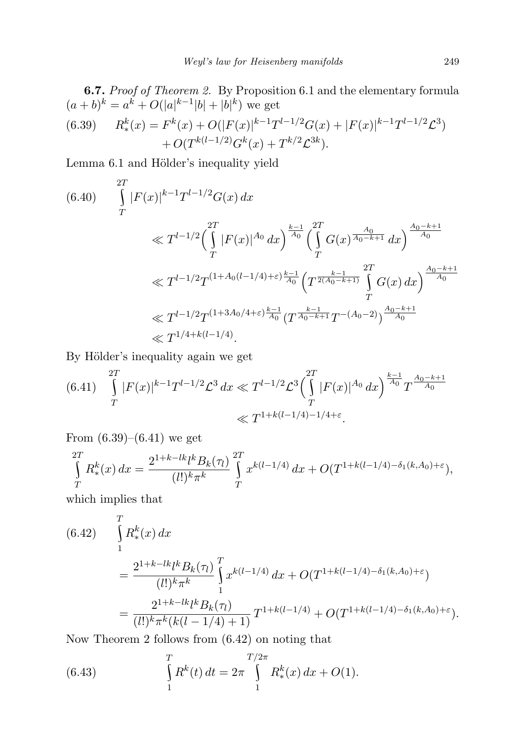**6.7.** *Proof of Theorem 2.* By Proposition 6.1 and the elementary formula  $(a + b)^k = a^k + O(|a|^{k-1}|b| + |b|^k)$  we get

(6.39) 
$$
R_{*}^{k}(x) = F^{k}(x) + O(|F(x)|^{k-1}T^{l-1/2}G(x) + |F(x)|^{k-1}T^{l-1/2}\mathcal{L}^{3}) + O(T^{k(l-1/2)}G^{k}(x) + T^{k/2}\mathcal{L}^{3k}).
$$

Lemma 6.1 and Hölder's inequality yield

$$
(6.40) \int_{T}^{2T} |F(x)|^{k-1} T^{l-1/2} G(x) dx
$$
  
\n
$$
\ll T^{l-1/2} \left( \int_{T}^{2T} |F(x)|^{A_0} dx \right)^{\frac{k-1}{A_0}} \left( \int_{T}^{2T} G(x)^{\frac{A_0}{A_0 - k + 1}} dx \right)^{\frac{A_0 - k + 1}{A_0}}
$$
  
\n
$$
\ll T^{l-1/2} T^{(1 + A_0(l - 1/4) + \varepsilon) \frac{k-1}{A_0}} \left( T^{\frac{k-1}{2(A_0 - k + 1)}} \int_{T}^{2T} G(x) dx \right)^{\frac{A_0 - k + 1}{A_0}}
$$
  
\n
$$
\ll T^{l-1/2} T^{(1 + 3A_0/4 + \varepsilon) \frac{k-1}{A_0}} (T^{\frac{k-1}{A_0 - k + 1}} T^{-(A_0 - 2)})^{\frac{A_0 - k + 1}{A_0}}
$$
  
\n
$$
\ll T^{1/4 + k(l - 1/4)}.
$$

By Hölder's inequality again we get

$$
(6.41) \int_{T}^{2T} |F(x)|^{k-1} T^{l-1/2} \mathcal{L}^3 dx \ll T^{l-1/2} \mathcal{L}^3 \Big( \int_{T}^{2T} |F(x)|^{A_0} dx \Big)^{\frac{k-1}{A_0}} T^{\frac{A_0 - k + 1}{A_0}} \ll T^{1 + k(l - 1/4) - 1/4 + \varepsilon}.
$$

From  $(6.39)$ – $(6.41)$  we get

$$
\int_{T}^{2T} R_{*}^{k}(x) dx = \frac{2^{1+k-lk} l^{k} B_{k}(\tau_{l})}{(l!)^{k} \pi^{k}} \int_{T}^{2T} x^{k(l-1/4)} dx + O(T^{1+k(l-1/4)-\delta_{1}(k,A_{0})+\varepsilon}),
$$

which implies that

$$
(6.42) \int_{1}^{T} R_{*}^{k}(x) dx
$$
  
= 
$$
\frac{2^{1+k-lk}k B_{k}(\tau_{l})}{(l!)^{k} \pi^{k}} \int_{1}^{T} x^{k(l-1/4)} dx + O(T^{1+k(l-1/4)-\delta_{1}(k,A_{0})+\varepsilon})
$$
  
= 
$$
\frac{2^{1+k-lk}k B_{k}(\tau_{l})}{(l!)^{k} \pi^{k}(k(l-1/4)+1)} T^{1+k(l-1/4)} + O(T^{1+k(l-1/4)-\delta_{1}(k,A_{0})+\varepsilon}).
$$

Now Theorem 2 follows from (6.42) on noting that

(6.43) 
$$
\int_{1}^{T} R^{k}(t) dt = 2\pi \int_{1}^{T/2\pi} R_{*}^{k}(x) dx + O(1).
$$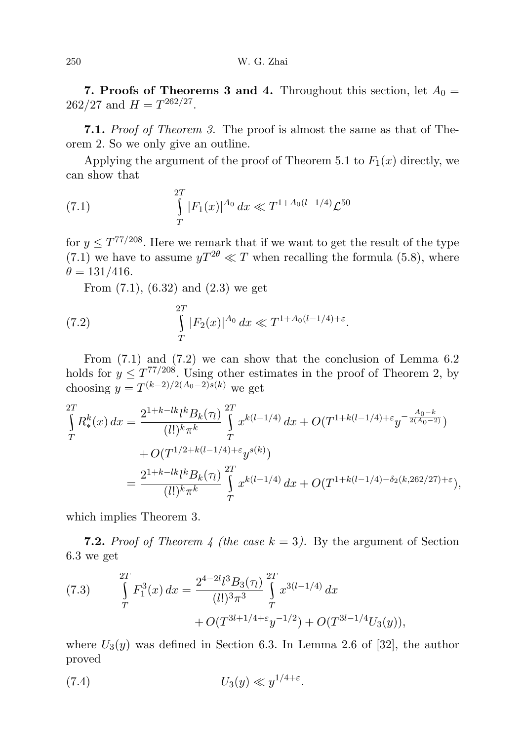**7. Proofs of Theorems 3 and 4.** Throughout this section, let  $A_0 =$  $262/27$  and  $H = T^{262/27}$ .

7.1. Proof of Theorem 3. The proof is almost the same as that of Theorem 2. So we only give an outline.

Applying the argument of the proof of Theorem 5.1 to  $F_1(x)$  directly, we can show that

(7.1) 
$$
\int_{T}^{2T} |F_1(x)|^{A_0} dx \ll T^{1+A_0(l-1/4)} \mathcal{L}^{50}
$$

for  $y \leq T^{77/208}$ . Here we remark that if we want to get the result of the type  $(7.1)$  we have to assume  $yT^{2\theta} \ll T$  when recalling the formula (5.8), where  $\theta = 131/416.$ 

From (7.1), (6.32) and (2.3) we get

(7.2) 
$$
\int_{T}^{2T} |F_2(x)|^{A_0} dx \ll T^{1+A_0(l-1/4)+\varepsilon}.
$$

From (7.1) and (7.2) we can show that the conclusion of Lemma 6.2 holds for  $y \n\t\leq T^{77/208}$ . Using other estimates in the proof of Theorem 2, by choosing  $y = T^{(k-2)/2(A_0-2)s(k)}$  we get

$$
\int_{T}^{2T} R_{*}^{k}(x) dx = \frac{2^{1+k-lk} l^{k} B_{k}(\tau_{l})}{(l!)^{k} \pi^{k}} \int_{T}^{2T} x^{k(l-1/4)} dx + O(T^{1+k(l-1/4)+\varepsilon} y^{-\frac{A_{0}-k}{2(A_{0}-2)}}) \n+ O(T^{1/2+k(l-1/4)+\varepsilon} y^{s(k)}) \n= \frac{2^{1+k-lk} l^{k} B_{k}(\tau_{l})}{(l!)^{k} \pi^{k}} \int_{T}^{2T} x^{k(l-1/4)} dx + O(T^{1+k(l-1/4)-\delta_{2}(k,262/27)+\varepsilon}),
$$

which implies Theorem 3.

**7.2.** Proof of Theorem 4 (the case  $k = 3$ ). By the argument of Section 6.3 we get

(7.3) 
$$
\int_{T}^{2T} F_1^3(x) dx = \frac{2^{4-2l} l^3 B_3(\tau_l)}{(l!)^3 \pi^3} \int_{T}^{2T} x^{3(l-1/4)} dx + O(T^{3l+1/4+\epsilon} y^{-1/2}) + O(T^{3l-1/4} U_3(y)),
$$

where  $U_3(y)$  was defined in Section 6.3. In Lemma 2.6 of [32], the author proved

$$
(7.4) \t\t U_3(y) \ll y^{1/4+\varepsilon}.
$$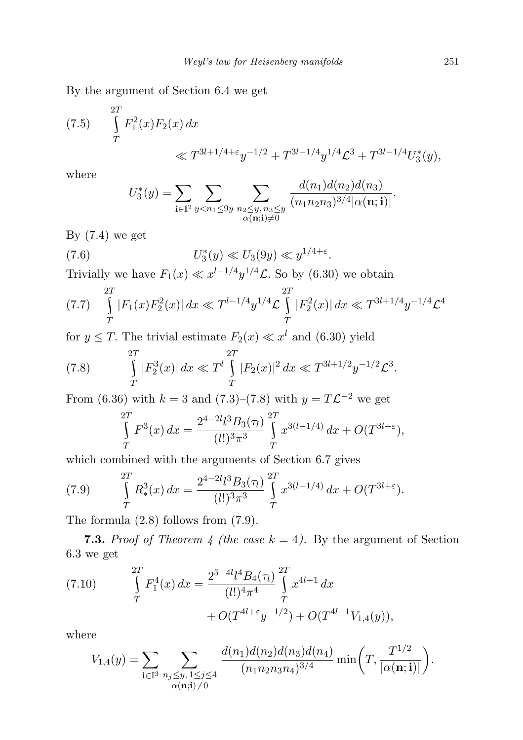By the argument of Section 6.4 we get

(7.5) 
$$
\int_{T}^{2T} F_1^2(x) F_2(x) dx
$$
  

$$
\ll T^{3l+1/4+\epsilon} y^{-1/2} + T^{3l-1/4} y^{1/4} \mathcal{L}^3 + T^{3l-1/4} U_3^*(y),
$$

where

$$
U_3^*(y) = \sum_{\mathbf{i} \in \mathbb{T}^2} \sum_{y < n_1 \le 9y} \sum_{\substack{n_2 \le y, n_3 \le y \\ \alpha(\mathbf{n}; \mathbf{i}) \neq 0}} \frac{d(n_1) d(n_2) d(n_3)}{(n_1 n_2 n_3)^{3/4} |\alpha(\mathbf{n}; \mathbf{i})|}.
$$

By  $(7.4)$  we get

(7.6) 
$$
U_3^*(y) \ll U_3(9y) \ll y^{1/4+\varepsilon}.
$$

Trivially we have  $F_1(x) \ll x^{l-1/4} y^{1/4} \mathcal{L}$ . So by (6.30) we obtain

$$
(7.7) \quad \int\limits_T^{2T} |F_1(x)F_2^2(x)| \, dx \ll T^{l-1/4} y^{1/4} \mathcal{L} \int\limits_T^{2T} |F_2^2(x)| \, dx \ll T^{3l+1/4} y^{-1/4} \mathcal{L}^4
$$

for  $y \leq T$ . The trivial estimate  $F_2(x) \ll x^l$  and (6.30) yield

(7.8) 
$$
\int_{T}^{2T} |F_{2}^{3}(x)| dx \ll T^{l} \int_{T}^{2T} |F_{2}(x)|^{2} dx \ll T^{3l+1/2} y^{-1/2} \mathcal{L}^{3}.
$$

From (6.36) with  $k = 3$  and (7.3)–(7.8) with  $y = T\mathcal{L}^{-2}$  we get

$$
\int_{T}^{2T} F^{3}(x) dx = \frac{2^{4-2l} l^{3} B_{3}(\tau_{l})}{(l!)^{3} \pi^{3}} \int_{T}^{2T} x^{3(l-1/4)} dx + O(T^{3l+\epsilon}),
$$

which combined with the arguments of Section 6.7 gives

(7.9) 
$$
\int_{T}^{2T} R_{*}^{3}(x) dx = \frac{2^{4-2l} \{^{3} B_{3}(\tau) \}}{(l!)^{3} \pi^{3}} \int_{T}^{2T} x^{3(l-1/4)} dx + O(T^{3l+\varepsilon}).
$$

The formula (2.8) follows from (7.9).

**7.3.** Proof of Theorem 4 (the case  $k = 4$ ). By the argument of Section 6.3 we get

(7.10) 
$$
\int_{T}^{2T} F_{1}^{4}(x) dx = \frac{2^{5-4l}l^{4}B_{4}(\tau_{l})}{(l!)^{4}\pi^{4}} \int_{T}^{2T} x^{4l-1} dx + O(T^{4l+\epsilon}y^{-1/2}) + O(T^{4l-1}V_{1,4}(y)),
$$

where

$$
V_{1,4}(y) = \sum_{\mathbf{i} \in \mathbb{I}^3} \sum_{\substack{n_j \leq y, 1 \leq j \leq 4 \\ \alpha(\mathbf{n}; \mathbf{i}) \neq 0}} \frac{d(n_1) d(n_2) d(n_3) d(n_4)}{(n_1 n_2 n_3 n_4)^{3/4}} \min\left(T, \frac{T^{1/2}}{|\alpha(\mathbf{n}; \mathbf{i})|}\right).
$$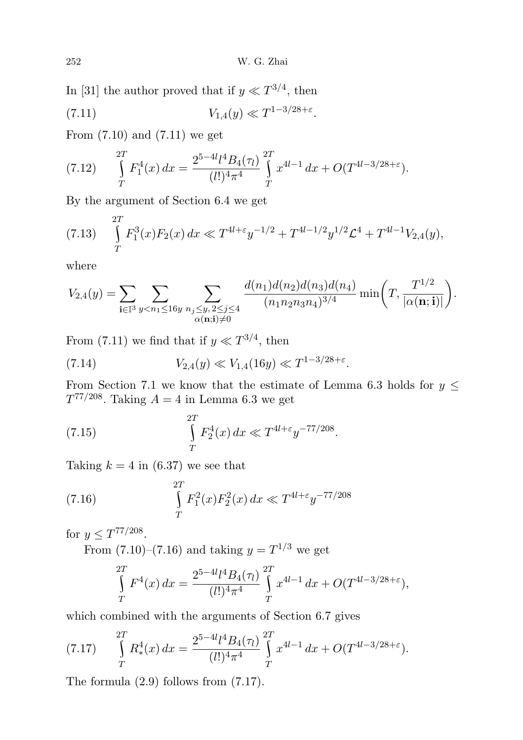In [31] the author proved that if  $y \ll T^{3/4}$ , then

(7.11) 
$$
V_{1,4}(y) \ll T^{1-3/28+\varepsilon}.
$$

From  $(7.10)$  and  $(7.11)$  we get

$$
(7.12) \qquad \int\limits_T^{2T} F_1^4(x) \, dx = \frac{2^{5-4l} l^4 B_4(\tau_l)}{(l!)^4 \pi^4} \int\limits_T^{2T} x^{4l-1} \, dx + O(T^{4l-3/28+\varepsilon}).
$$

By the argument of Section 6.4 we get

$$
(7.13)\quad \int\limits_T^{2T} F_1^3(x) F_2(x) \, dx \ll T^{4l+\varepsilon} y^{-1/2} + T^{4l-1/2} y^{1/2} \mathcal{L}^4 + T^{4l-1} V_{2,4}(y),
$$

where

$$
V_{2,4}(y) = \sum_{\mathbf{i} \in \mathbb{I}^3} \sum_{y < n_1 \le 16y} \sum_{\substack{n_j \le y, 2 \le j \le 4 \\ \alpha(\mathbf{n}; \mathbf{i}) \neq 0}} \frac{d(n_1) d(n_2) d(n_3) d(n_4)}{(n_1 n_2 n_3 n_4)^{3/4}} \min\left(T, \frac{T^{1/2}}{|\alpha(\mathbf{n}; \mathbf{i})|}\right).
$$

From (7.11) we find that if  $y \ll T^{3/4}$ , then

(7.14) 
$$
V_{2,4}(y) \ll V_{1,4}(16y) \ll T^{1-3/28+\varepsilon}.
$$

From Section 7.1 we know that the estimate of Lemma 6.3 holds for  $y \leq$  $T^{77/208}$ . Taking  $A = 4$  in Lemma 6.3 we get

(7.15) 
$$
\int_{T}^{2T} F_2^4(x) dx \ll T^{4l+\epsilon} y^{-77/208}.
$$

Taking  $k = 4$  in (6.37) we see that

(7.16) 
$$
\int_{T}^{2T} F_1^2(x) F_2^2(x) dx \ll T^{4l + \varepsilon} y^{-77/208}
$$

for  $y \le T^{77/208}$ .

From  $(7.10)$ – $(7.16)$  and taking  $y = T^{1/3}$  we get

$$
\int_{T}^{2T} F^{4}(x) dx = \frac{2^{5-4l}l^{4}B_{4}(\pi)}{(l!)^{4}\pi^{4}} \int_{T}^{2T} x^{4l-1} dx + O(T^{4l-3/28+\epsilon}),
$$

which combined with the arguments of Section 6.7 gives

(7.17) 
$$
\int_{T}^{2T} R_{*}^{4}(x) dx = \frac{2^{5-4l} \ell^{4} B_{4}(\tau_{l})}{(l!)^{4} \pi^{4}} \int_{T}^{2T} x^{4l-1} dx + O(T^{4l-3/28+\epsilon}).
$$

The formula (2.9) follows from (7.17).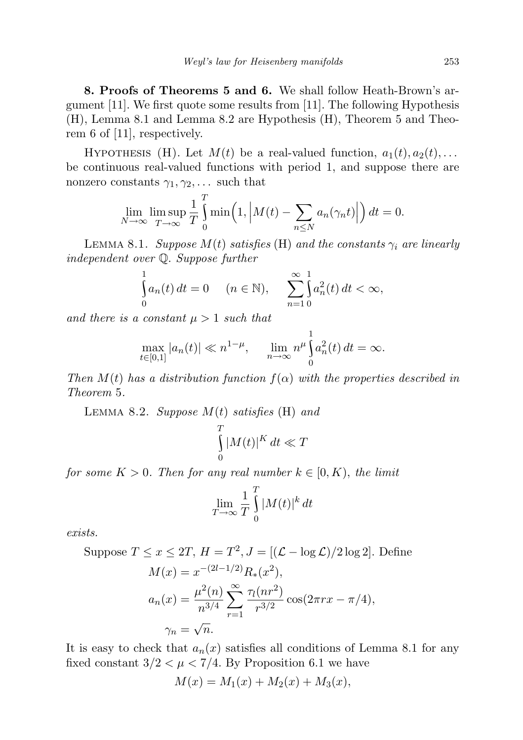8. Proofs of Theorems 5 and 6. We shall follow Heath-Brown's argument [11]. We first quote some results from [11]. The following Hypothesis (H), Lemma 8.1 and Lemma 8.2 are Hypothesis (H), Theorem 5 and Theorem 6 of [11], respectively.

HYPOTHESIS (H). Let  $M(t)$  be a real-valued function,  $a_1(t), a_2(t), \ldots$ be continuous real-valued functions with period 1, and suppose there are nonzero constants  $\gamma_1, \gamma_2, \ldots$  such that

$$
\lim_{N \to \infty} \limsup_{T \to \infty} \frac{1}{T} \int_{0}^{T} \min\left(1, \left|M(t) - \sum_{n \leq N} a_n(\gamma_n t)\right|\right) dt = 0.
$$

LEMMA 8.1. Suppose  $M(t)$  satisfies (H) and the constants  $\gamma_i$  are linearly independent over Q. Suppose further

$$
\int_{0}^{1} a_n(t) dt = 0 \quad (n \in \mathbb{N}), \quad \sum_{n=1}^{\infty} \int_{0}^{1} a_n^{2}(t) dt < \infty,
$$

and there is a constant  $\mu > 1$  such that

$$
\max_{t \in [0,1]} |a_n(t)| \ll n^{1-\mu}, \quad \lim_{n \to \infty} n^{\mu} \int_0^1 a_n^2(t) dt = \infty.
$$

Then  $M(t)$  has a distribution function  $f(\alpha)$  with the properties described in Theorem 5.

LEMMA 8.2. Suppose  $M(t)$  satisfies (H) and

$$
\int_{0}^{T} |M(t)|^{K} dt \ll T
$$

for some  $K > 0$ . Then for any real number  $k \in [0, K)$ , the limit

$$
\lim_{T \to \infty} \frac{1}{T} \int_{0}^{T} |M(t)|^{k} dt
$$

exists.

Suppose 
$$
T \le x \le 2T
$$
,  $H = T^2$ ,  $J = [(\mathcal{L} - \log \mathcal{L})/2 \log 2]$ . Define  
\n
$$
M(x) = x^{-(2l-1/2)} R_*(x^2),
$$
\n
$$
a_n(x) = \frac{\mu^2(n)}{n^{3/4}} \sum_{r=1}^{\infty} \frac{\tau_1(nr^2)}{r^{3/2}} \cos(2\pi rx - \pi/4),
$$
\n
$$
\gamma_n = \sqrt{n}.
$$

It is easy to check that  $a_n(x)$  satisfies all conditions of Lemma 8.1 for any fixed constant  $3/2 < \mu < 7/4$ . By Proposition 6.1 we have

$$
M(x) = M_1(x) + M_2(x) + M_3(x),
$$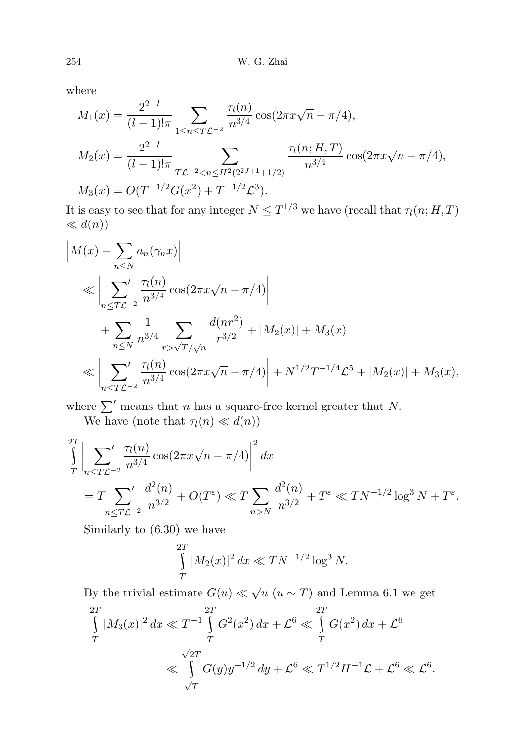where

$$
M_1(x) = \frac{2^{2-l}}{(l-1)!\pi} \sum_{1 \le n \le T\mathcal{L}^{-2}} \frac{\tau_l(n)}{n^{3/4}} \cos(2\pi x \sqrt{n} - \pi/4),
$$
  
\n
$$
M_2(x) = \frac{2^{2-l}}{(l-1)!\pi} \sum_{T\mathcal{L}^{-2} < n \le H^2(2^{2J+1}+1/2)} \frac{\tau_l(n; H, T)}{n^{3/4}} \cos(2\pi x \sqrt{n} - \pi/4),
$$
  
\n
$$
M_3(x) = O(T^{-1/2}G(x^2) + T^{-1/2}\mathcal{L}^3).
$$

It is easy to see that for any integer  $N \leq T^{1/3}$  we have (recall that  $\tau_l(n; H, T)$  $\ll d(n)$ 

$$
\begin{split}\n\left| M(x) - \sum_{n \le N} a_n(\gamma_n x) \right| \\
&\ll \left| \sum_{n \le T\mathcal{L}^{-2}} \frac{\tau_l(n)}{n^{3/4}} \cos(2\pi x \sqrt{n} - \pi/4) \right| \\
&+ \sum_{n \le N} \frac{1}{n^{3/4}} \sum_{r > \sqrt{T}/\sqrt{n}} \frac{d(nr^2)}{r^{3/2}} + |M_2(x)| + M_3(x) \\
&\ll \left| \sum_{n \le T\mathcal{L}^{-2}} \frac{\tau_l(n)}{n^{3/4}} \cos(2\pi x \sqrt{n} - \pi/4) \right| + N^{1/2} T^{-1/4} \mathcal{L}^5 + |M_2(x)| + M_3(x),\n\end{split}
$$

where  $\sum'$  means that n has a square-free kernel greater that N.

We have (note that  $\tau_l(n) \ll d(n)$ )

$$
\int_{T}^{2T} \left| \sum_{n \le T\mathcal{L}^{-2}} \frac{\tau_{l}(n)}{n^{3/4}} \cos(2\pi x \sqrt{n} - \pi/4) \right|^{2} dx
$$
  
=  $T \sum_{n \le T\mathcal{L}^{-2}} \frac{d^{2}(n)}{n^{3/2}} + O(T^{\varepsilon}) \ll T \sum_{n > N} \frac{d^{2}(n)}{n^{3/2}} + T^{\varepsilon} \ll TN^{-1/2} \log^{3} N + T^{\varepsilon}.$ 

Similarly to (6.30) we have

$$
\int_{T}^{2T} |M_2(x)|^2 dx \ll TN^{-1/2} \log^3 N.
$$

By the trivial estimate  $G(u) \ll \sqrt{u}$   $(u \sim T)$  and Lemma 6.1 we get

$$
\int_{T}^{2T} |M_3(x)|^2 dx \ll T^{-1} \int_{T}^{2T} G^2(x^2) dx + \mathcal{L}^6 \ll \int_{T}^{2T} G(x^2) dx + \mathcal{L}^6
$$
  

$$
\ll \int_{\sqrt{T}}^{\sqrt{2T}} G(y) y^{-1/2} dy + \mathcal{L}^6 \ll T^{1/2} H^{-1} \mathcal{L} + \mathcal{L}^6 \ll \mathcal{L}^6.
$$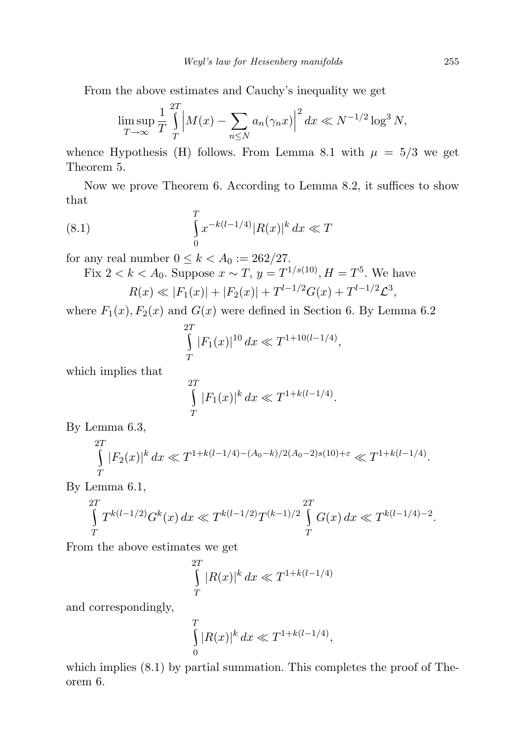From the above estimates and Cauchy's inequality we get

$$
\limsup_{T \to \infty} \frac{1}{T} \int_{T}^{2T} \left| M(x) - \sum_{n \le N} a_n(\gamma_n x) \right|^2 dx \ll N^{-1/2} \log^3 N,
$$

whence Hypothesis (H) follows. From Lemma 8.1 with  $\mu = 5/3$  we get Theorem 5.

Now we prove Theorem 6. According to Lemma 8.2, it suffices to show that

(8.1) 
$$
\int_{0}^{T} x^{-k(l-1/4)} |R(x)|^{k} dx \ll T
$$

for any real number  $0 \leq k < A_0 := 262/27$ .

Fix 
$$
2 < k < A_0
$$
. Suppose  $x \sim T$ ,  $y = T^{1/s(10)}$ ,  $H = T^5$ . We have  
 $R(x) \ll |F_1(x)| + |F_2(x)| + T^{l-1/2}G(x) + T^{l-1/2}\mathcal{L}^3$ ,

where  $F_1(x)$ ,  $F_2(x)$  and  $G(x)$  were defined in Section 6. By Lemma 6.2

$$
\int_{T}^{2T} |F_1(x)|^{10} dx \ll T^{1+10(l-1/4)},
$$

which implies that

$$
\int_{T}^{2T} |F_1(x)|^k dx \ll T^{1+k(l-1/4)}.
$$

By Lemma 6.3,

$$
\int_{T}^{2T} |F_2(x)|^k dx \ll T^{1+k(l-1/4)-(A_0-k)/2(A_0-2)s(10)+\varepsilon} \ll T^{1+k(l-1/4)}.
$$

By Lemma 6.1,

$$
\int_{T}^{2T} T^{k(l-1/2)} G^{k}(x) dx \ll T^{k(l-1/2)} T^{(k-1)/2} \int_{T}^{2T} G(x) dx \ll T^{k(l-1/4)-2}.
$$

From the above estimates we get

$$
\int_{T}^{2T} |R(x)|^k dx \ll T^{1+k(l-1/4)}
$$

and correspondingly,

$$
\int_{0}^{T} |R(x)|^{k} dx \ll T^{1 + k(l - 1/4)},
$$

which implies  $(8.1)$  by partial summation. This completes the proof of Theorem 6.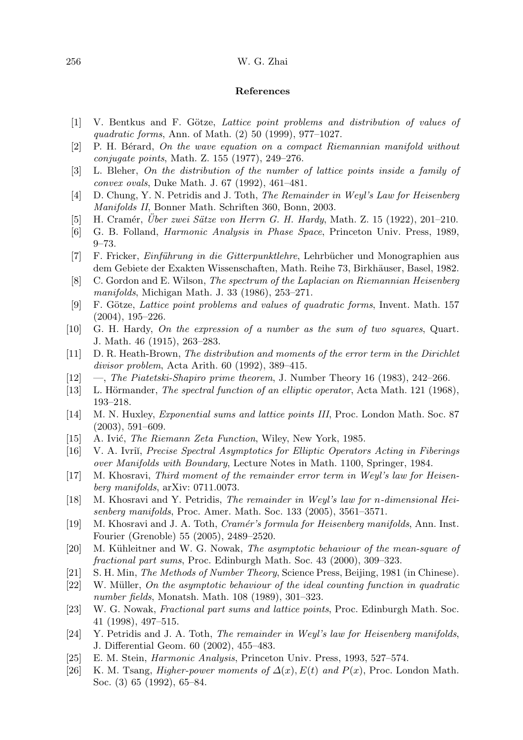## 256 W. G. Zhai

## References

- [1] V. Bentkus and F. Götze, *Lattice point problems and distribution of values of* quadratic forms, Ann. of Math. (2) 50 (1999), 977–1027.
- $[2]$  P. H. Berard, On the wave equation on a compact Riemannian manifold without conjugate points, Math. Z. 155 (1977), 249–276.
- [3] L. Bleher, On the distribution of the number of lattice points inside a family of convex ovals, Duke Math. J. 67 (1992), 461–481.
- [4] D. Chung, Y. N. Petridis and J. Toth, The Remainder in Weyl's Law for Heisenberg Manifolds II, Bonner Math. Schriften 360, Bonn, 2003.
- [5] H. Cramér, Uber zwei Sätze von Herrn G. H. Hardy, Math. Z. 15 (1922), 201–210.
- [6] G. B. Folland, Harmonic Analysis in Phase Space, Princeton Univ. Press, 1989, 9–73.
- [7] F. Fricker, *Einführung in die Gitterpunktlehre*, Lehrbücher und Monographien aus dem Gebiete der Exakten Wissenschaften, Math. Reihe 73, Birkhäuser, Basel, 1982.
- [8] C. Gordon and E. Wilson, The spectrum of the Laplacian on Riemannian Heisenberg manifolds, Michigan Math. J. 33 (1986), 253–271.
- [9] F. Götze, Lattice point problems and values of quadratic forms, Invent. Math. 157 (2004), 195–226.
- [10] G. H. Hardy, On the expression of a number as the sum of two squares, Quart. J. Math. 46 (1915), 263–283.
- [11] D. R. Heath-Brown, The distribution and moments of the error term in the Dirichlet divisor problem, Acta Arith. 60 (1992), 389–415.
- [12] —, The Piatetski-Shapiro prime theorem, J. Number Theory 16 (1983), 242–266.
- [13] L. Hörmander, The spectral function of an elliptic operator, Acta Math. 121 (1968), 193–218.
- [14] M. N. Huxley, Exponential sums and lattice points III, Proc. London Math. Soc. 87 (2003), 591–609.
- [15] A. Ivić, *The Riemann Zeta Function*, Wiley, New York, 1985.
- [16] V. A. Ivrii, Precise Spectral Asymptotics for Elliptic Operators Acting in Fiberings over Manifolds with Boundary, Lecture Notes in Math. 1100, Springer, 1984.
- [17] M. Khosravi, Third moment of the remainder error term in Weyl's law for Heisenberg manifolds, arXiv: 0711.0073.
- [18] M. Khosravi and Y. Petridis, The remainder in Weyl's law for n-dimensional Heisenberg manifolds, Proc. Amer. Math. Soc. 133 (2005), 3561–3571.
- [19] M. Khosravi and J. A. Toth, *Cramér's formula for Heisenberg manifolds*, Ann. Inst. Fourier (Grenoble) 55 (2005), 2489–2520.
- [20] M. Kühleitner and W. G. Nowak, The asymptotic behaviour of the mean-square of fractional part sums, Proc. Edinburgh Math. Soc. 43 (2000), 309–323.
- [21] S. H. Min, The Methods of Number Theory, Science Press, Beijing, 1981 (in Chinese).
- [22] W. Müller, On the asymptotic behaviour of the ideal counting function in quadratic number fields, Monatsh. Math. 108 (1989), 301–323.
- [23] W. G. Nowak, Fractional part sums and lattice points, Proc. Edinburgh Math. Soc. 41 (1998), 497–515.
- [24] Y. Petridis and J. A. Toth, The remainder in Weyl's law for Heisenberg manifolds, J. Differential Geom. 60 (2002), 455–483.
- [25] E. M. Stein, Harmonic Analysis, Princeton Univ. Press, 1993, 527–574.
- [26] K. M. Tsang, *Higher-power moments of*  $\Delta(x)$ ,  $E(t)$  and  $P(x)$ , Proc. London Math. Soc. (3) 65 (1992), 65–84.